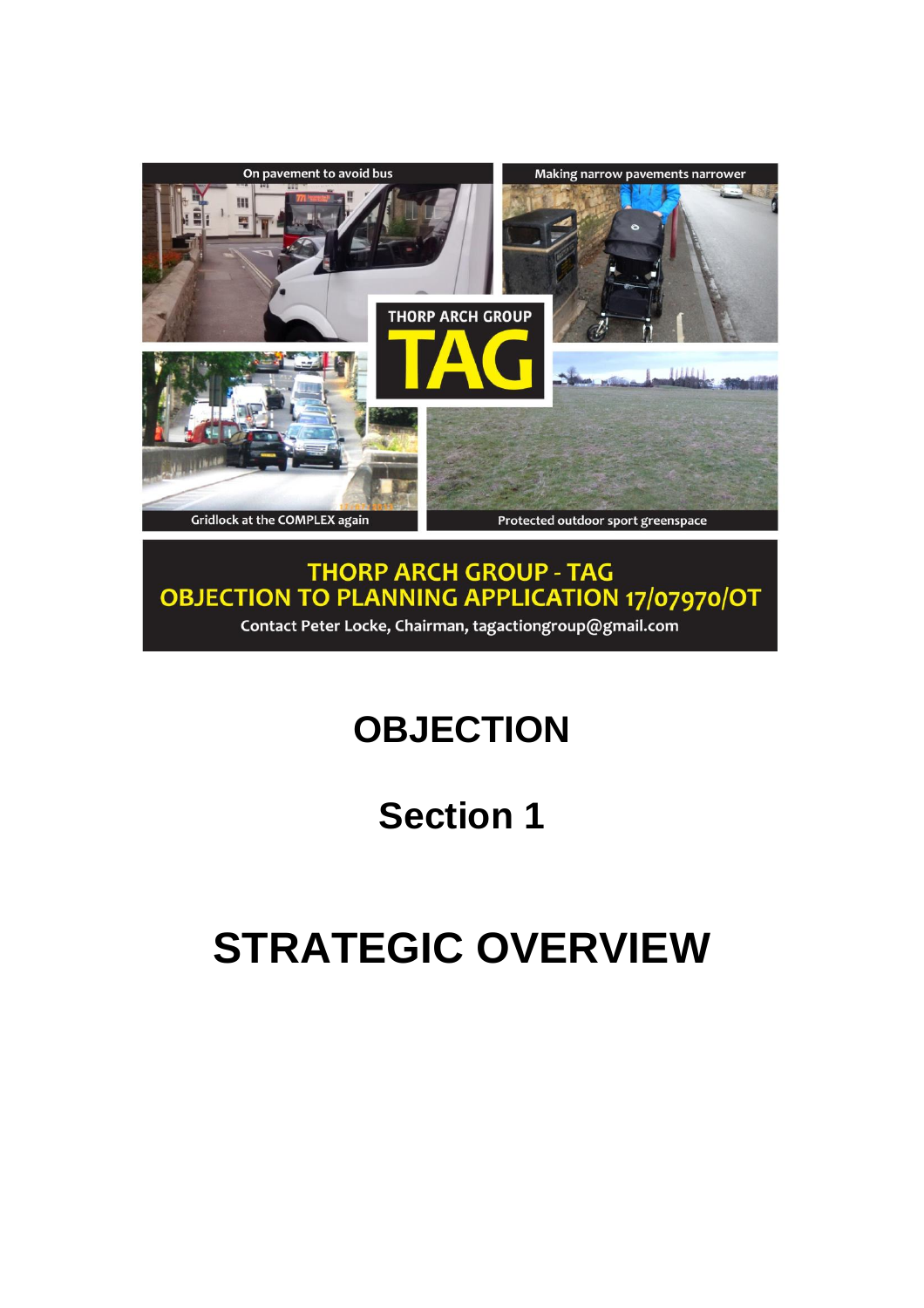

**THORP ARCH GROUP - TAG OBJECTION TO PLANNING APPLICATION 17/07970/OT** Contact Peter Locke, Chairman, tagactiongroup@gmail.com

# **OBJECTION**

# **Section 1**

# **STRATEGIC OVERVIEW**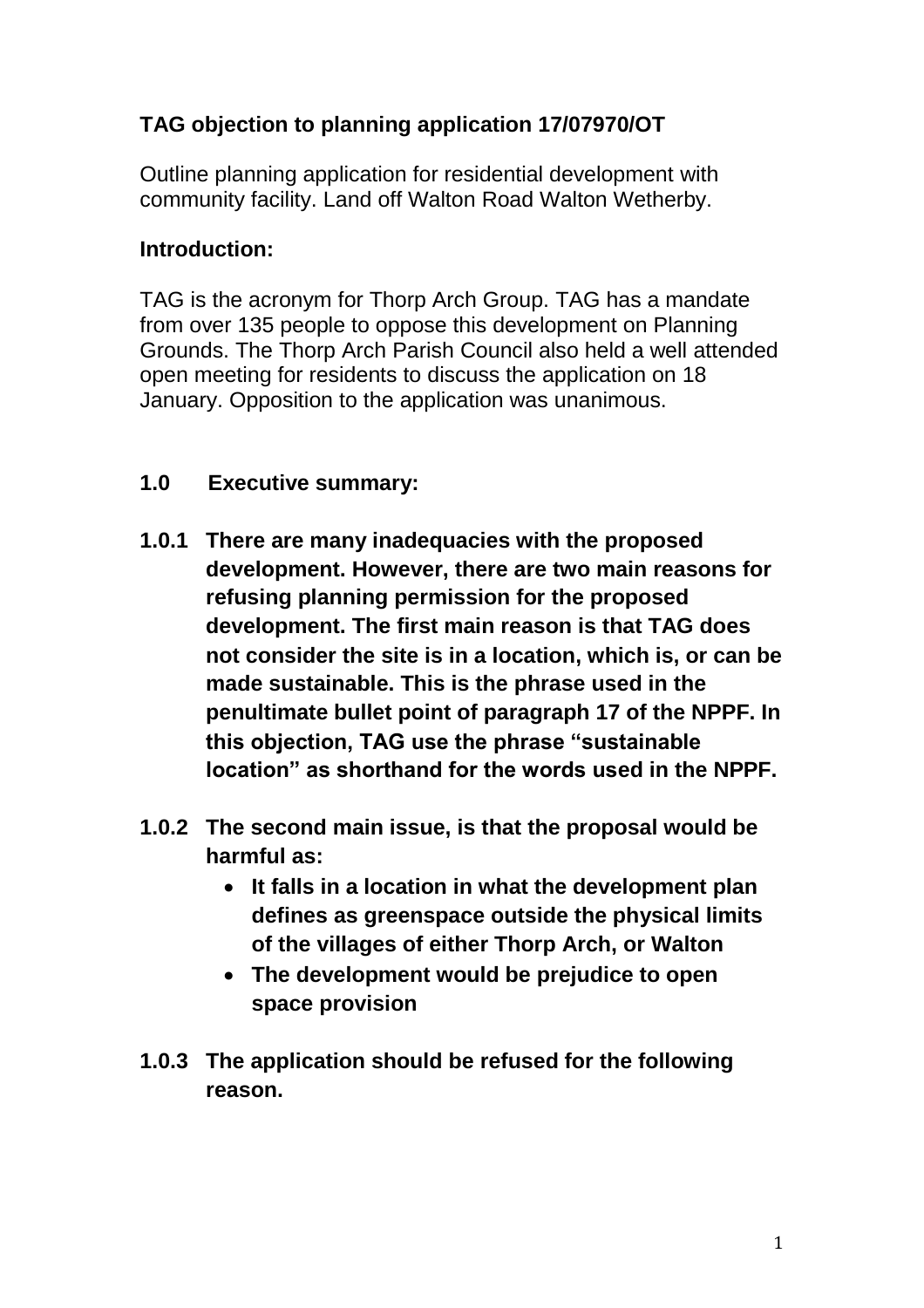# **TAG objection to planning application 17/07970/OT**

Outline planning application for residential development with community facility. Land off Walton Road Walton Wetherby.

#### **Introduction:**

TAG is the acronym for Thorp Arch Group. TAG has a mandate from over 135 people to oppose this development on Planning Grounds. The Thorp Arch Parish Council also held a well attended open meeting for residents to discuss the application on 18 January. Opposition to the application was unanimous.

#### **1.0 Executive summary:**

- **1.0.1 There are many inadequacies with the proposed development. However, there are two main reasons for refusing planning permission for the proposed development. The first main reason is that TAG does not consider the site is in a location, which is, or can be made sustainable. This is the phrase used in the penultimate bullet point of paragraph 17 of the NPPF. In this objection, TAG use the phrase "sustainable location" as shorthand for the words used in the NPPF.**
- **1.0.2 The second main issue, is that the proposal would be harmful as:**
	- **It falls in a location in what the development plan defines as greenspace outside the physical limits of the villages of either Thorp Arch, or Walton**
	- **The development would be prejudice to open space provision**
- **1.0.3 The application should be refused for the following reason.**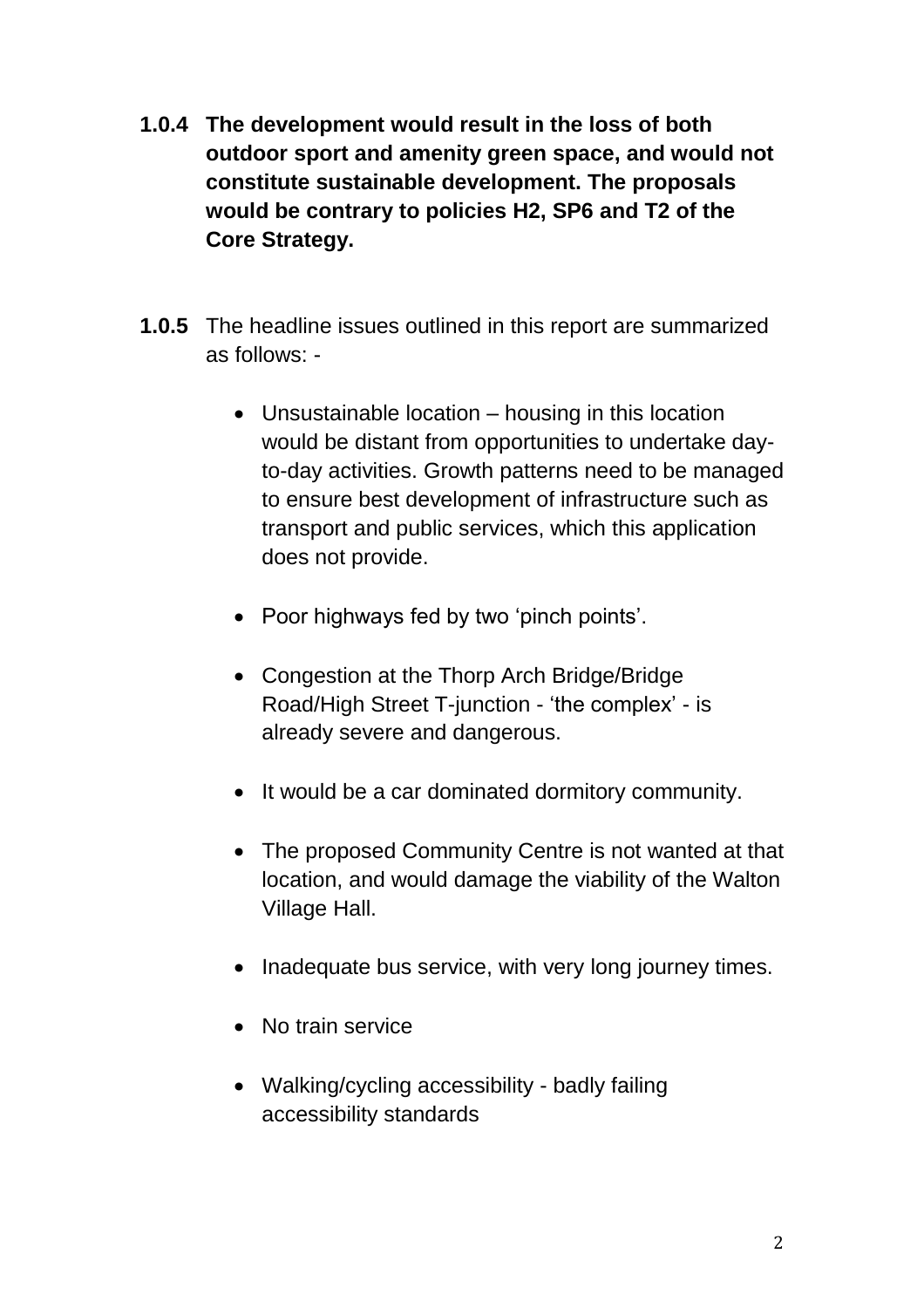- **1.0.4 The development would result in the loss of both outdoor sport and amenity green space, and would not constitute sustainable development. The proposals would be contrary to policies H2, SP6 and T2 of the Core Strategy.**
- **1.0.5** The headline issues outlined in this report are summarized as follows: -
	- Unsustainable location housing in this location would be distant from opportunities to undertake dayto-day activities. Growth patterns need to be managed to ensure best development of infrastructure such as transport and public services, which this application does not provide.
	- Poor highways fed by two 'pinch points'.
	- Congestion at the Thorp Arch Bridge/Bridge Road/High Street T-junction - 'the complex' - is already severe and dangerous.
	- It would be a car dominated dormitory community.
	- The proposed Community Centre is not wanted at that location, and would damage the viability of the Walton Village Hall.
	- Inadequate bus service, with very long journey times.
	- No train service
	- Walking/cycling accessibility badly failing accessibility standards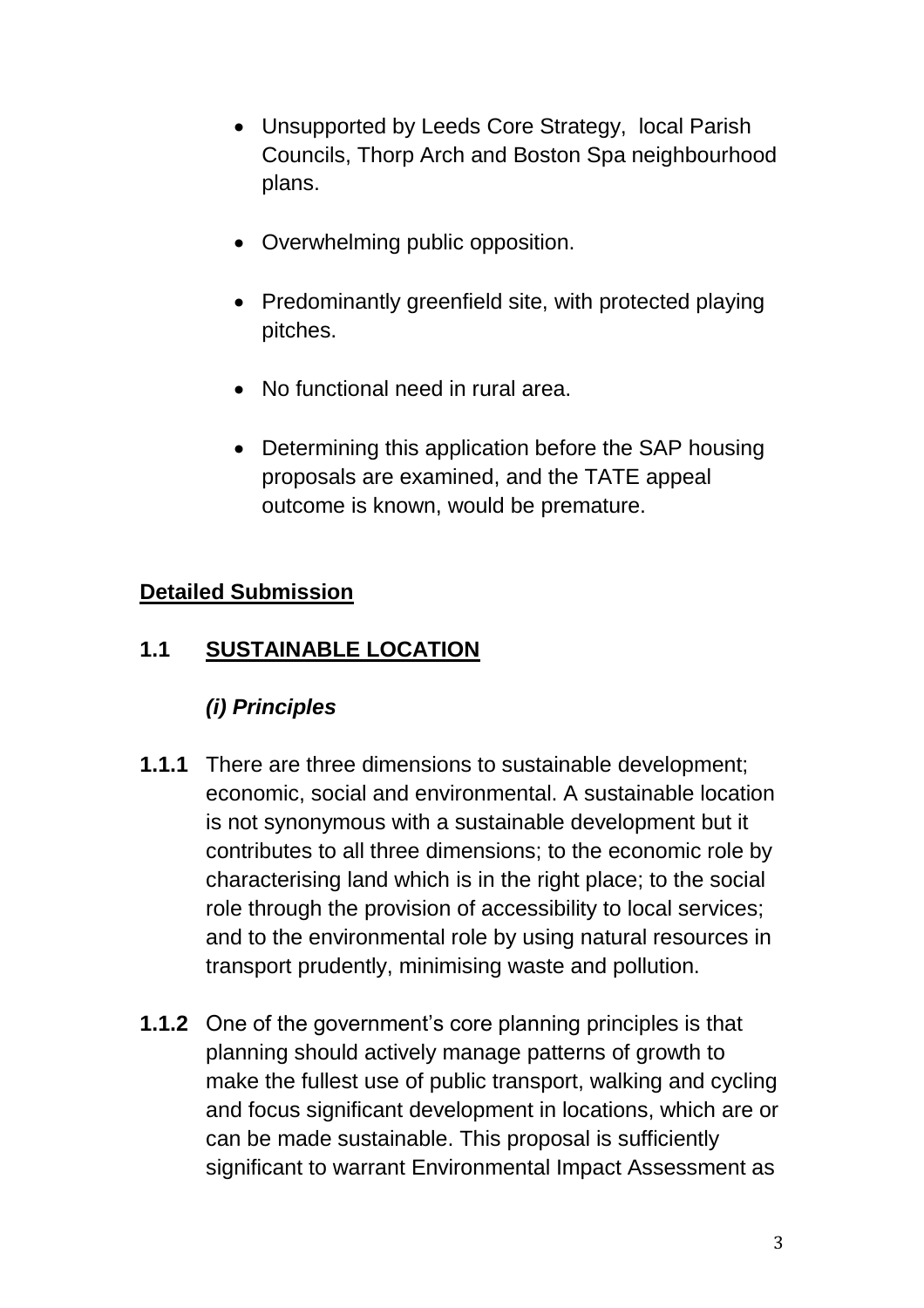- Unsupported by Leeds Core Strategy, local Parish Councils, Thorp Arch and Boston Spa neighbourhood plans.
- Overwhelming public opposition.
- Predominantly greenfield site, with protected playing pitches.
- No functional need in rural area.
- Determining this application before the SAP housing proposals are examined, and the TATE appeal outcome is known, would be premature.

#### **Detailed Submission**

#### **1.1 SUSTAINABLE LOCATION**

#### *(i) Principles*

- **1.1.1** There are three dimensions to sustainable development; economic, social and environmental. A sustainable location is not synonymous with a sustainable development but it contributes to all three dimensions; to the economic role by characterising land which is in the right place; to the social role through the provision of accessibility to local services; and to the environmental role by using natural resources in transport prudently, minimising waste and pollution.
- **1.1.2** One of the government's core planning principles is that planning should actively manage patterns of growth to make the fullest use of public transport, walking and cycling and focus significant development in locations, which are or can be made sustainable. This proposal is sufficiently significant to warrant Environmental Impact Assessment as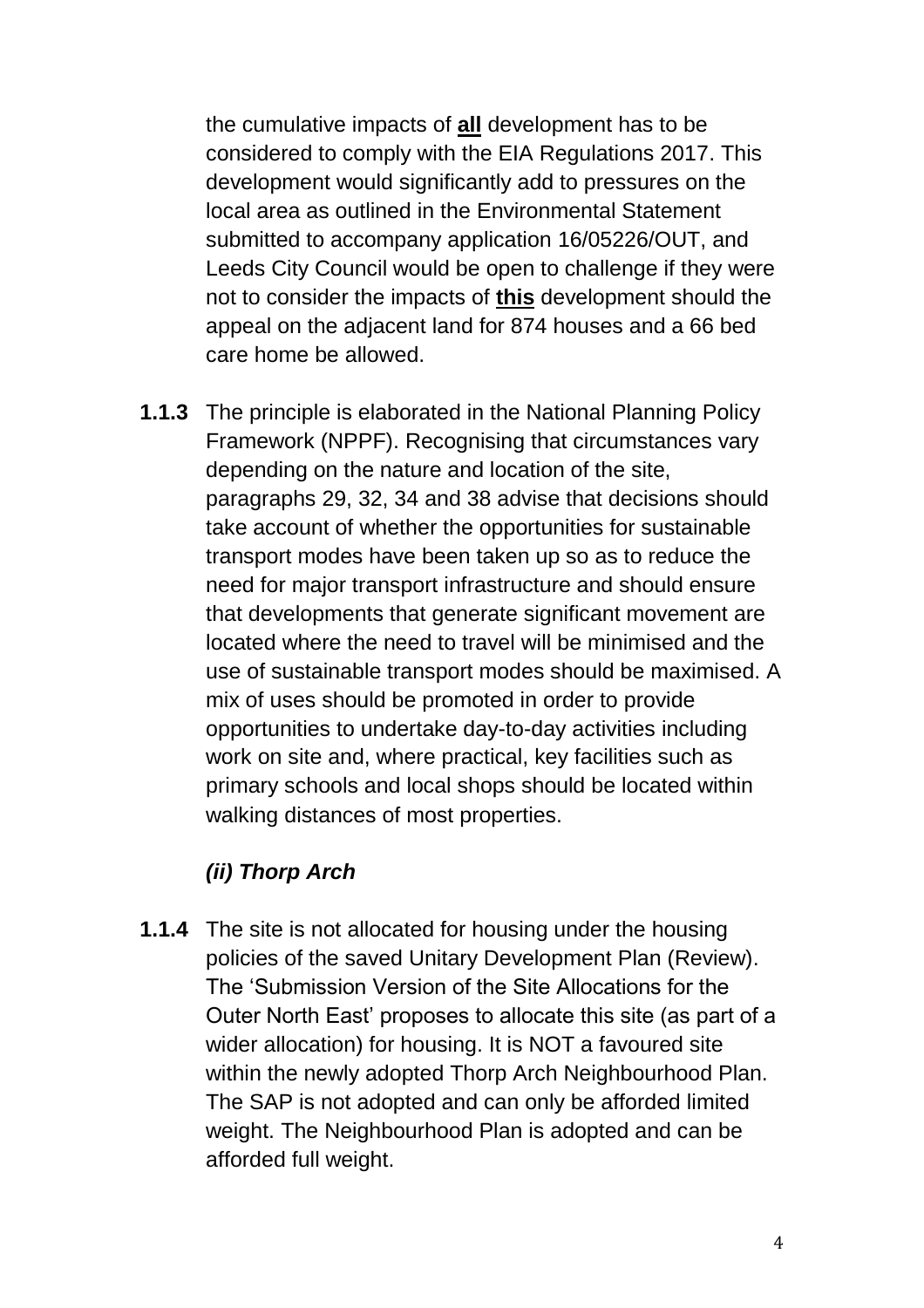the cumulative impacts of **all** development has to be considered to comply with the EIA Regulations 2017. This development would significantly add to pressures on the local area as outlined in the Environmental Statement submitted to accompany application 16/05226/OUT, and Leeds City Council would be open to challenge if they were not to consider the impacts of **this** development should the appeal on the adjacent land for 874 houses and a 66 bed care home be allowed.

**1.1.3** The principle is elaborated in the National Planning Policy Framework (NPPF). Recognising that circumstances vary depending on the nature and location of the site, paragraphs 29, 32, 34 and 38 advise that decisions should take account of whether the opportunities for sustainable transport modes have been taken up so as to reduce the need for major transport infrastructure and should ensure that developments that generate significant movement are located where the need to travel will be minimised and the use of sustainable transport modes should be maximised. A mix of uses should be promoted in order to provide opportunities to undertake day-to-day activities including work on site and, where practical, key facilities such as primary schools and local shops should be located within walking distances of most properties.

## *(ii) Thorp Arch*

**1.1.4** The site is not allocated for housing under the housing policies of the saved Unitary Development Plan (Review). The 'Submission Version of the Site Allocations for the Outer North East' proposes to allocate this site (as part of a wider allocation) for housing. It is NOT a favoured site within the newly adopted Thorp Arch Neighbourhood Plan. The SAP is not adopted and can only be afforded limited weight. The Neighbourhood Plan is adopted and can be afforded full weight.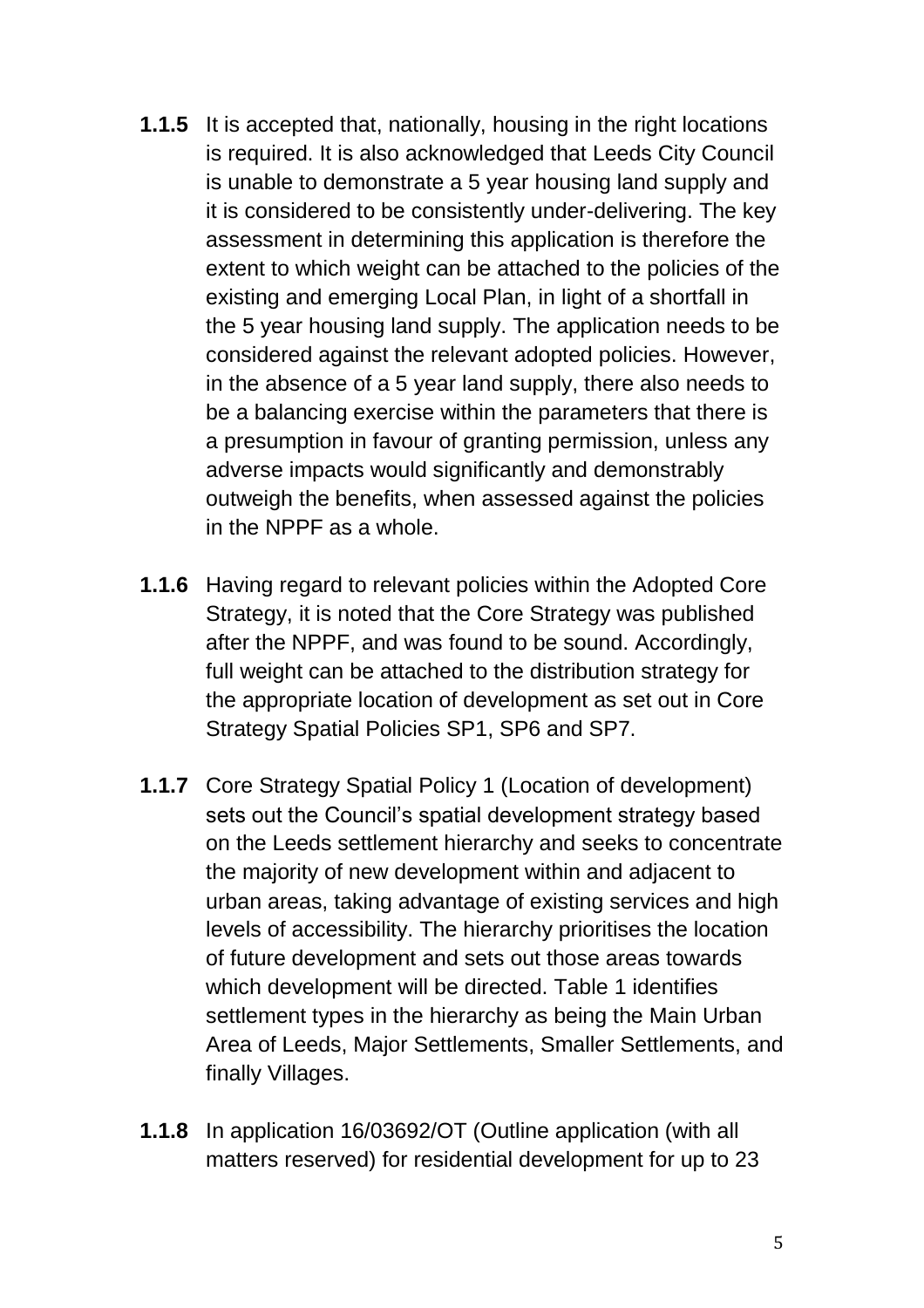- **1.1.5** It is accepted that, nationally, housing in the right locations is required. It is also acknowledged that Leeds City Council is unable to demonstrate a 5 year housing land supply and it is considered to be consistently under-delivering. The key assessment in determining this application is therefore the extent to which weight can be attached to the policies of the existing and emerging Local Plan, in light of a shortfall in the 5 year housing land supply. The application needs to be considered against the relevant adopted policies. However, in the absence of a 5 year land supply, there also needs to be a balancing exercise within the parameters that there is a presumption in favour of granting permission, unless any adverse impacts would significantly and demonstrably outweigh the benefits, when assessed against the policies in the NPPF as a whole.
- **1.1.6** Having regard to relevant policies within the Adopted Core Strategy, it is noted that the Core Strategy was published after the NPPF, and was found to be sound. Accordingly, full weight can be attached to the distribution strategy for the appropriate location of development as set out in Core Strategy Spatial Policies SP1, SP6 and SP7.
- **1.1.7** Core Strategy Spatial Policy 1 (Location of development) sets out the Council's spatial development strategy based on the Leeds settlement hierarchy and seeks to concentrate the majority of new development within and adjacent to urban areas, taking advantage of existing services and high levels of accessibility. The hierarchy prioritises the location of future development and sets out those areas towards which development will be directed. Table 1 identifies settlement types in the hierarchy as being the Main Urban Area of Leeds, Major Settlements, Smaller Settlements, and finally Villages.
- **1.1.8** In application 16/03692/OT (Outline application (with all matters reserved) for residential development for up to 23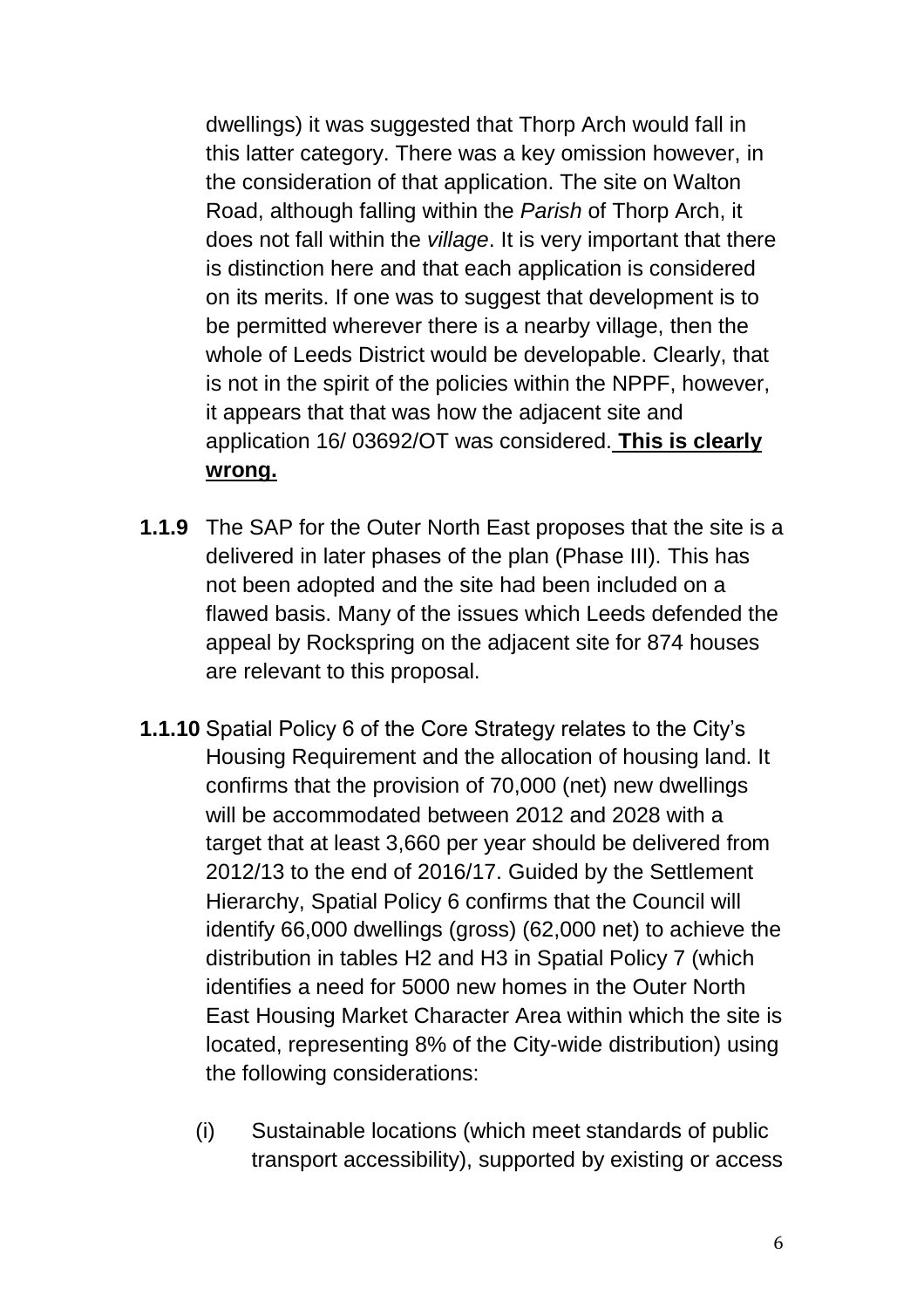dwellings) it was suggested that Thorp Arch would fall in this latter category. There was a key omission however, in the consideration of that application. The site on Walton Road, although falling within the *Parish* of Thorp Arch, it does not fall within the *village*. It is very important that there is distinction here and that each application is considered on its merits. If one was to suggest that development is to be permitted wherever there is a nearby village, then the whole of Leeds District would be developable. Clearly, that is not in the spirit of the policies within the NPPF, however, it appears that that was how the adjacent site and application 16/ 03692/OT was considered. **This is clearly wrong.**

- **1.1.9** The SAP for the Outer North East proposes that the site is a delivered in later phases of the plan (Phase III). This has not been adopted and the site had been included on a flawed basis. Many of the issues which Leeds defended the appeal by Rockspring on the adjacent site for 874 houses are relevant to this proposal.
- **1.1.10** Spatial Policy 6 of the Core Strategy relates to the City's Housing Requirement and the allocation of housing land. It confirms that the provision of 70,000 (net) new dwellings will be accommodated between 2012 and 2028 with a target that at least 3,660 per year should be delivered from 2012/13 to the end of 2016/17. Guided by the Settlement Hierarchy, Spatial Policy 6 confirms that the Council will identify 66,000 dwellings (gross) (62,000 net) to achieve the distribution in tables H2 and H3 in Spatial Policy 7 (which identifies a need for 5000 new homes in the Outer North East Housing Market Character Area within which the site is located, representing 8% of the City-wide distribution) using the following considerations:
	- (i) Sustainable locations (which meet standards of public transport accessibility), supported by existing or access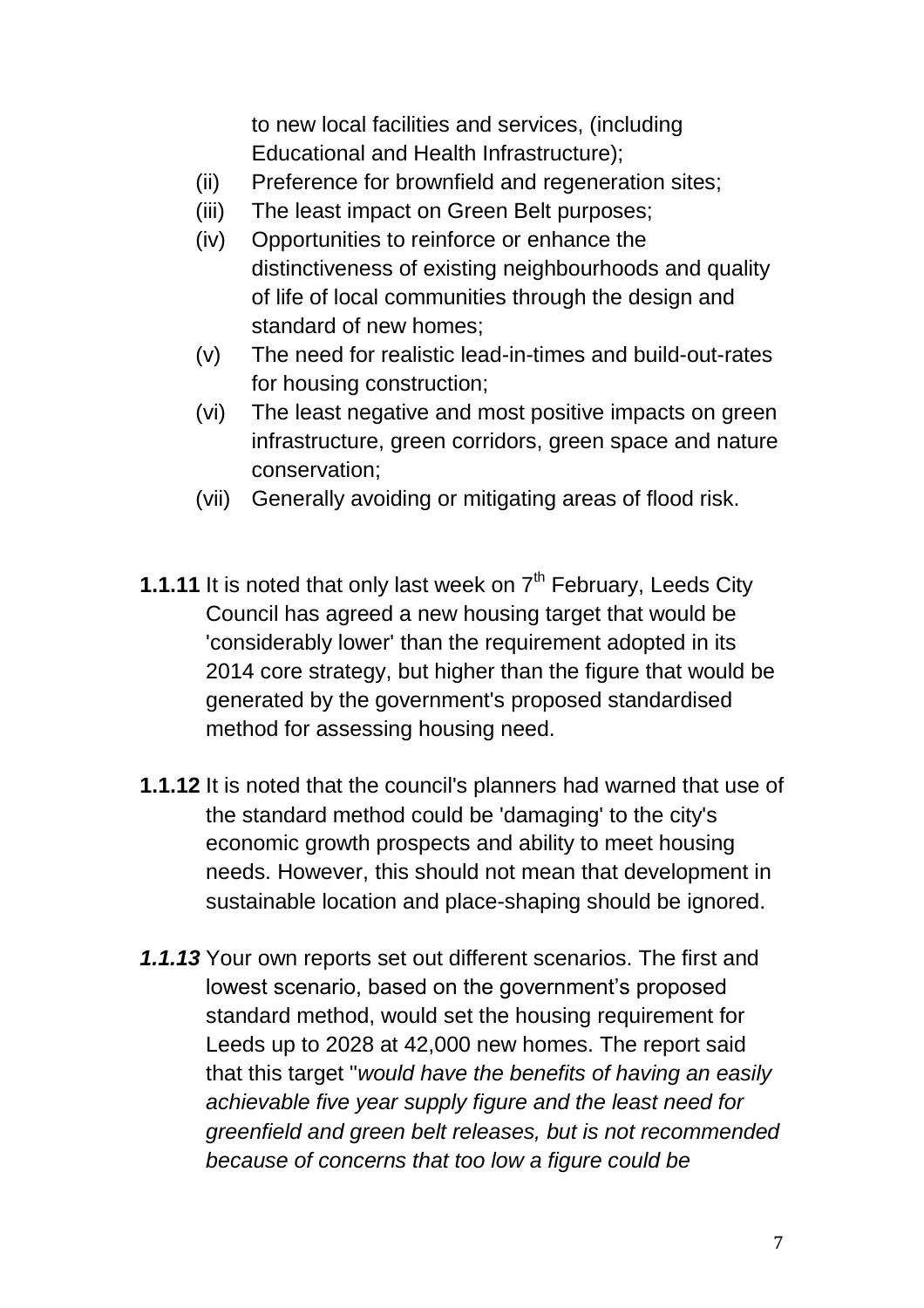to new local facilities and services, (including Educational and Health Infrastructure);

- (ii) Preference for brownfield and regeneration sites;
- (iii) The least impact on Green Belt purposes;
- (iv) Opportunities to reinforce or enhance the distinctiveness of existing neighbourhoods and quality of life of local communities through the design and standard of new homes;
- (v) The need for realistic lead-in-times and build-out-rates for housing construction;
- (vi) The least negative and most positive impacts on green infrastructure, green corridors, green space and nature conservation;
- (vii) Generally avoiding or mitigating areas of flood risk.
- **1.1.11** It is noted that only last week on  $7<sup>th</sup>$  February, Leeds City Council has agreed a new housing target that would be 'considerably lower' than the requirement adopted in its 2014 core strategy, but higher than the figure that would be generated by the government's proposed standardised method for assessing housing need.
- **1.1.12** It is noted that the council's planners had warned that use of the standard method could be 'damaging' to the city's economic growth prospects and ability to meet housing needs. However, this should not mean that development in sustainable location and place-shaping should be ignored.
- *1.1.13* Your own reports set out different scenarios. The first and lowest scenario, based on the government's proposed standard method, would set the housing requirement for Leeds up to 2028 at 42,000 new homes. The report said that this target "*would have the benefits of having an easily achievable five year supply figure and the least need for greenfield and green belt releases, but is not recommended because of concerns that too low a figure could be*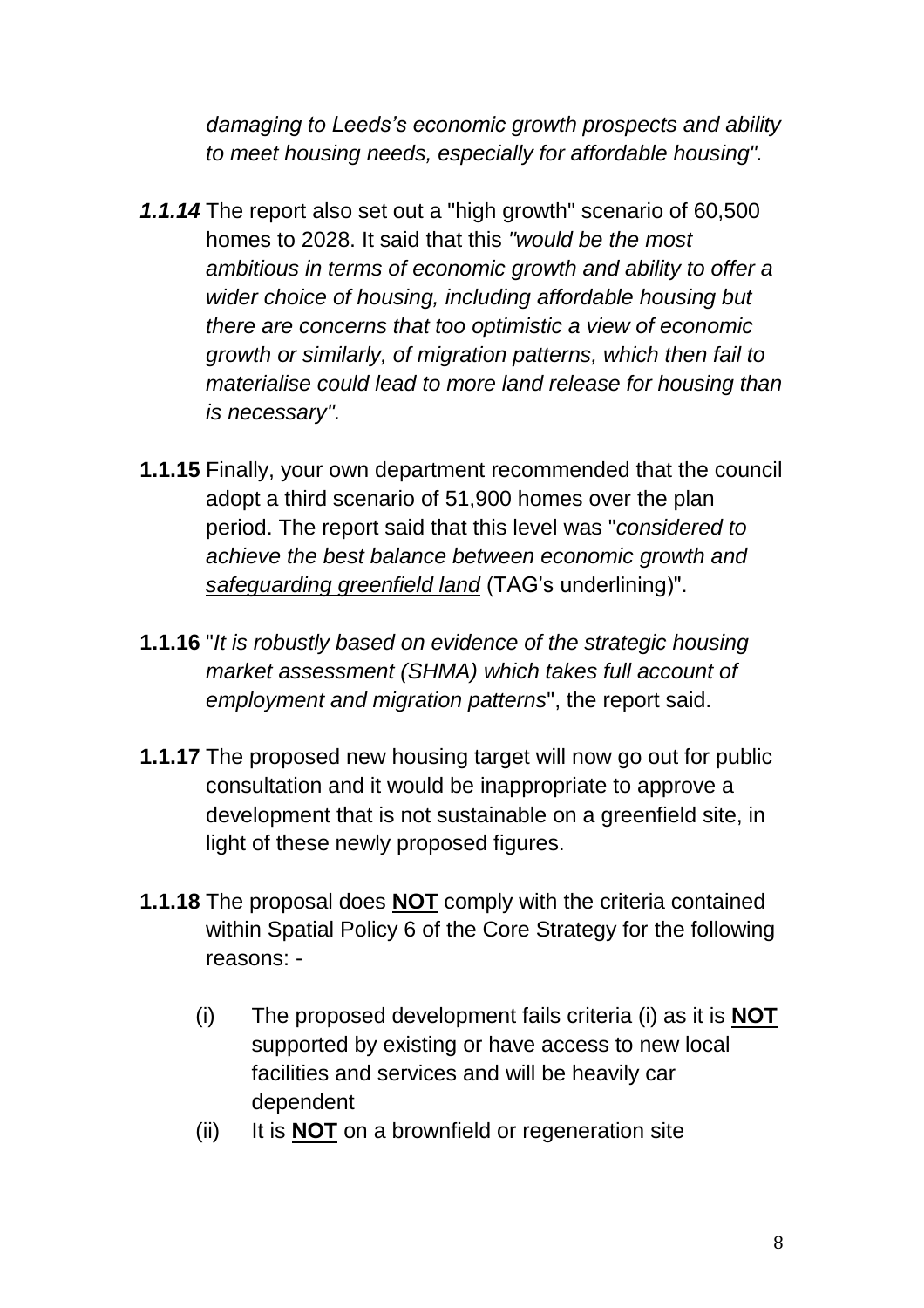*damaging to Leeds's economic growth prospects and ability to meet housing needs, especially for affordable housing".*

- *1.1.14* The report also set out a "high growth" scenario of 60,500 homes to 2028. It said that this *"would be the most ambitious in terms of economic growth and ability to offer a wider choice of housing, including affordable housing but there are concerns that too optimistic a view of economic growth or similarly, of migration patterns, which then fail to materialise could lead to more land release for housing than is necessary".*
- **1.1.15** Finally, your own department recommended that the council adopt a third scenario of 51,900 homes over the plan period. The report said that this level was "*considered to achieve the best balance between economic growth and safeguarding greenfield land* (TAG's underlining)".
- **1.1.16** "*It is robustly based on evidence of the strategic housing market assessment (SHMA) which takes full account of employment and migration patterns*", the report said.
- **1.1.17** The proposed new housing target will now go out for public consultation and it would be inappropriate to approve a development that is not sustainable on a greenfield site, in light of these newly proposed figures.
- **1.1.18** The proposal does **NOT** comply with the criteria contained within Spatial Policy 6 of the Core Strategy for the following reasons: -
	- (i) The proposed development fails criteria (i) as it is **NOT** supported by existing or have access to new local facilities and services and will be heavily car dependent
	- (ii) It is **NOT** on a brownfield or regeneration site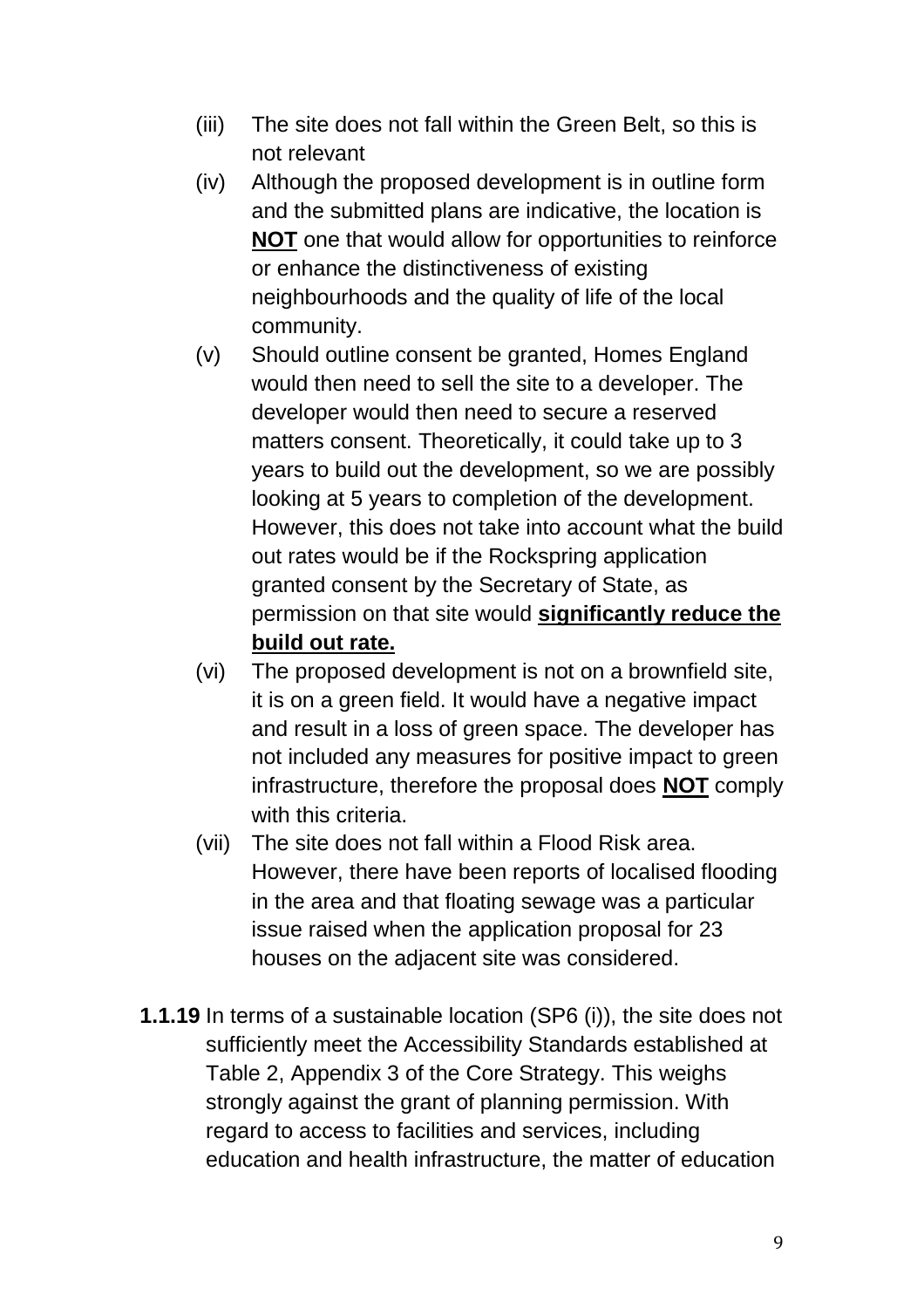- (iii) The site does not fall within the Green Belt, so this is not relevant
- (iv) Although the proposed development is in outline form and the submitted plans are indicative, the location is **NOT** one that would allow for opportunities to reinforce or enhance the distinctiveness of existing neighbourhoods and the quality of life of the local community.
- (v) Should outline consent be granted, Homes England would then need to sell the site to a developer. The developer would then need to secure a reserved matters consent. Theoretically, it could take up to 3 years to build out the development, so we are possibly looking at 5 years to completion of the development. However, this does not take into account what the build out rates would be if the Rockspring application granted consent by the Secretary of State, as permission on that site would **significantly reduce the build out rate.**
- (vi) The proposed development is not on a brownfield site, it is on a green field. It would have a negative impact and result in a loss of green space. The developer has not included any measures for positive impact to green infrastructure, therefore the proposal does **NOT** comply with this criteria.
- (vii) The site does not fall within a Flood Risk area. However, there have been reports of localised flooding in the area and that floating sewage was a particular issue raised when the application proposal for 23 houses on the adjacent site was considered.
- **1.1.19** In terms of a sustainable location (SP6 (i)), the site does not sufficiently meet the Accessibility Standards established at Table 2, Appendix 3 of the Core Strategy. This weighs strongly against the grant of planning permission. With regard to access to facilities and services, including education and health infrastructure, the matter of education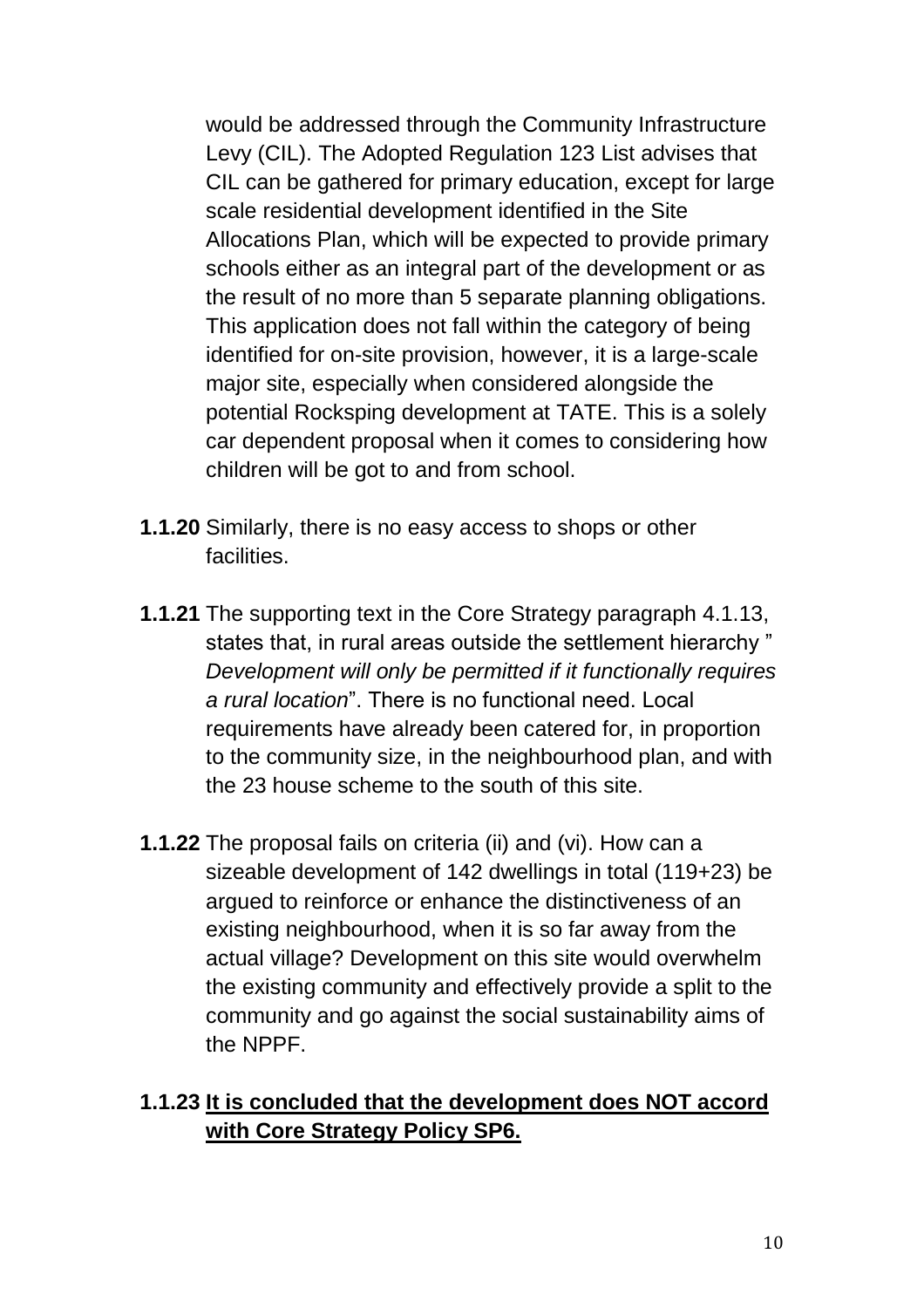would be addressed through the Community Infrastructure Levy (CIL). The Adopted Regulation 123 List advises that CIL can be gathered for primary education, except for large scale residential development identified in the Site Allocations Plan, which will be expected to provide primary schools either as an integral part of the development or as the result of no more than 5 separate planning obligations. This application does not fall within the category of being identified for on-site provision, however, it is a large-scale major site, especially when considered alongside the potential Rocksping development at TATE. This is a solely car dependent proposal when it comes to considering how children will be got to and from school.

- **1.1.20** Similarly, there is no easy access to shops or other facilities.
- **1.1.21** The supporting text in the Core Strategy paragraph 4.1.13, states that, in rural areas outside the settlement hierarchy " *Development will only be permitted if it functionally requires a rural location*". There is no functional need. Local requirements have already been catered for, in proportion to the community size, in the neighbourhood plan, and with the 23 house scheme to the south of this site.
- **1.1.22** The proposal fails on criteria (ii) and (vi). How can a sizeable development of 142 dwellings in total (119+23) be argued to reinforce or enhance the distinctiveness of an existing neighbourhood, when it is so far away from the actual village? Development on this site would overwhelm the existing community and effectively provide a split to the community and go against the social sustainability aims of the NPPF.

#### **1.1.23 It is concluded that the development does NOT accord with Core Strategy Policy SP6.**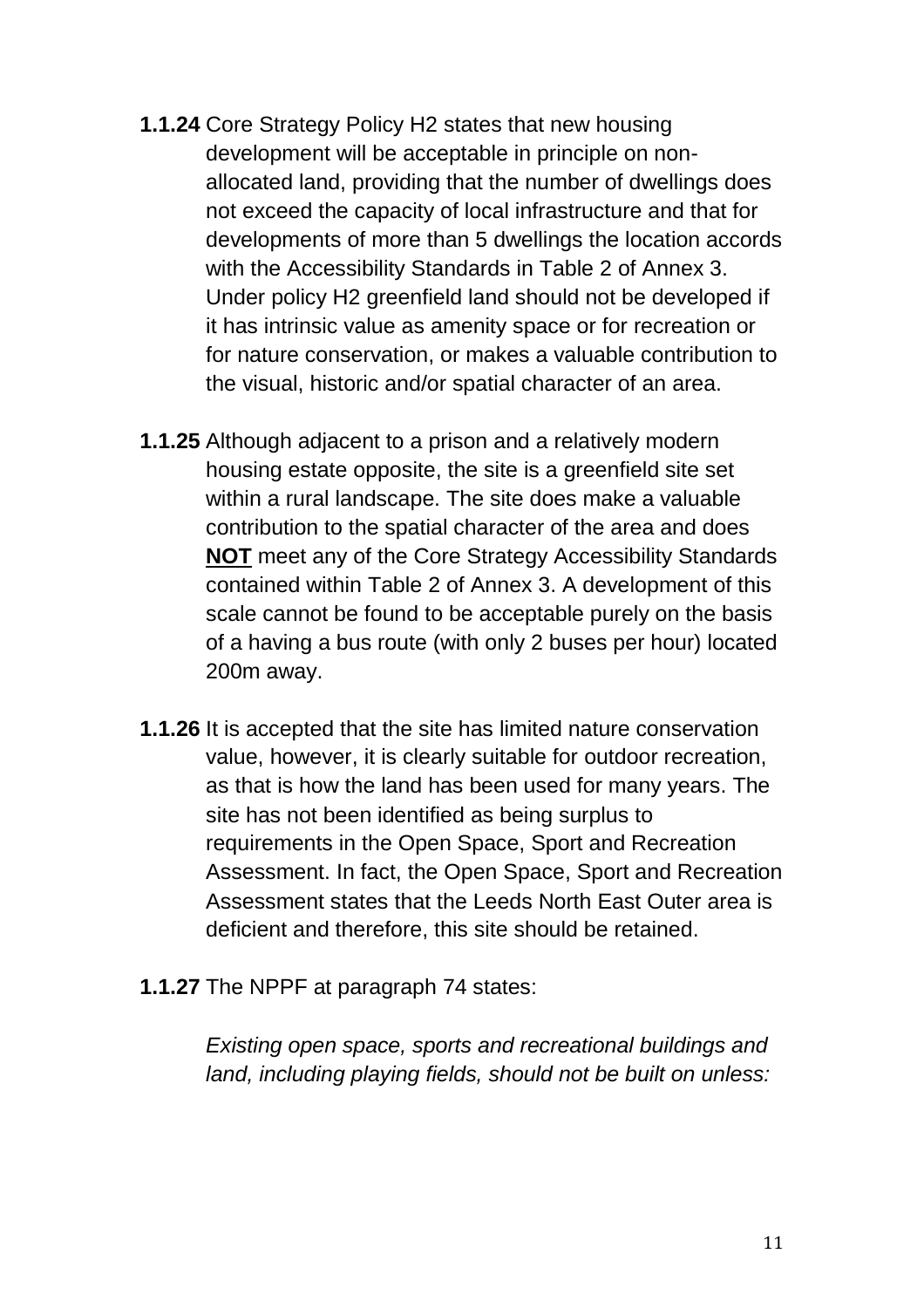- **1.1.24** Core Strategy Policy H2 states that new housing development will be acceptable in principle on nonallocated land, providing that the number of dwellings does not exceed the capacity of local infrastructure and that for developments of more than 5 dwellings the location accords with the Accessibility Standards in Table 2 of Annex 3. Under policy H2 greenfield land should not be developed if it has intrinsic value as amenity space or for recreation or for nature conservation, or makes a valuable contribution to the visual, historic and/or spatial character of an area.
- **1.1.25** Although adjacent to a prison and a relatively modern housing estate opposite, the site is a greenfield site set within a rural landscape. The site does make a valuable contribution to the spatial character of the area and does **NOT** meet any of the Core Strategy Accessibility Standards contained within Table 2 of Annex 3. A development of this scale cannot be found to be acceptable purely on the basis of a having a bus route (with only 2 buses per hour) located 200m away.
- **1.1.26** It is accepted that the site has limited nature conservation value, however, it is clearly suitable for outdoor recreation, as that is how the land has been used for many years. The site has not been identified as being surplus to requirements in the Open Space, Sport and Recreation Assessment. In fact, the Open Space, Sport and Recreation Assessment states that the Leeds North East Outer area is deficient and therefore, this site should be retained.
- **1.1.27** The NPPF at paragraph 74 states:

*Existing open space, sports and recreational buildings and land, including playing fields, should not be built on unless:*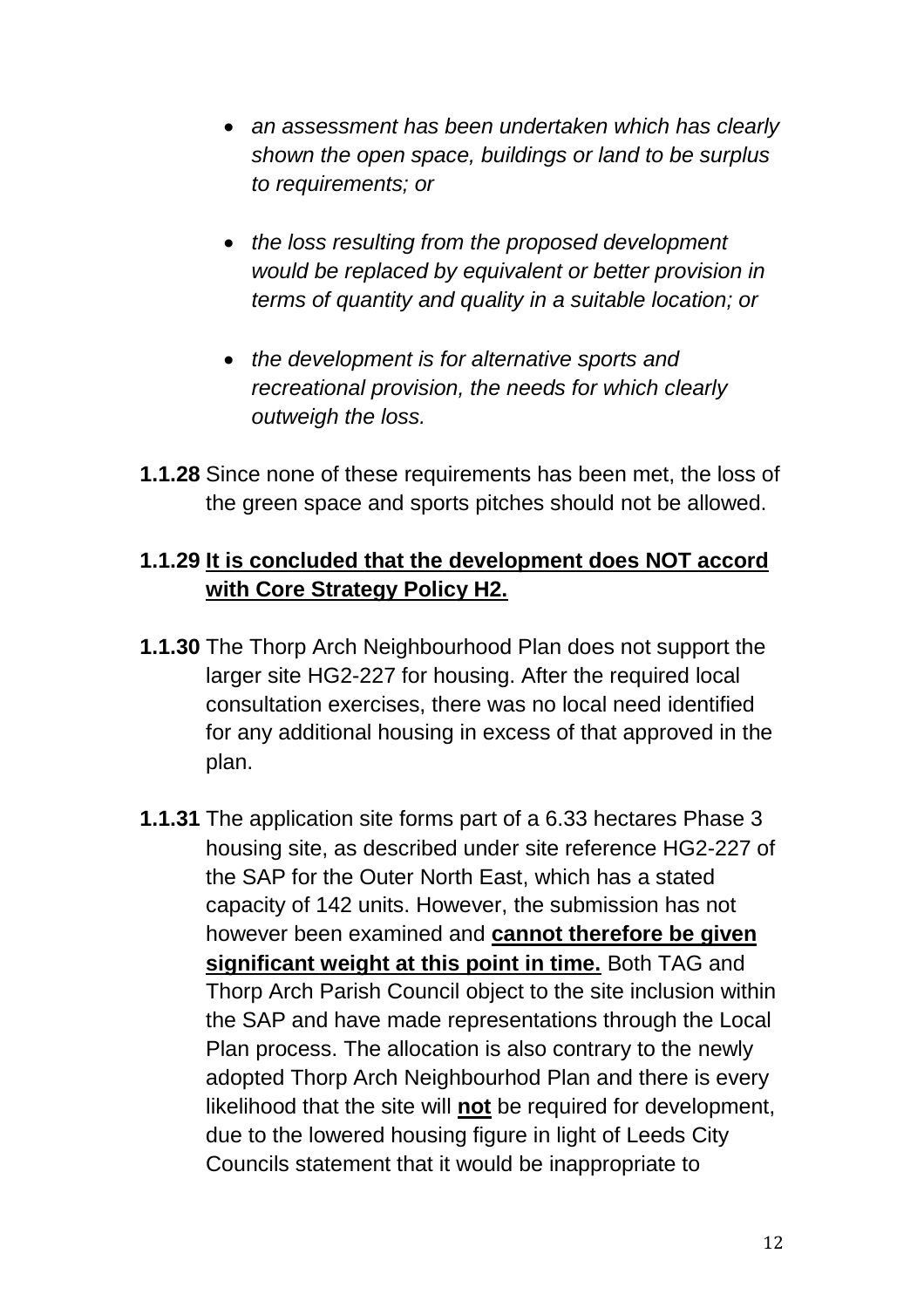- *an assessment has been undertaken which has clearly shown the open space, buildings or land to be surplus to requirements; or*
- *the loss resulting from the proposed development would be replaced by equivalent or better provision in terms of quantity and quality in a suitable location; or*
- *the development is for alternative sports and recreational provision, the needs for which clearly outweigh the loss.*
- **1.1.28** Since none of these requirements has been met, the loss of the green space and sports pitches should not be allowed.

#### **1.1.29 It is concluded that the development does NOT accord with Core Strategy Policy H2.**

- **1.1.30** The Thorp Arch Neighbourhood Plan does not support the larger site HG2-227 for housing. After the required local consultation exercises, there was no local need identified for any additional housing in excess of that approved in the plan.
- **1.1.31** The application site forms part of a 6.33 hectares Phase 3 housing site, as described under site reference HG2-227 of the SAP for the Outer North East, which has a stated capacity of 142 units. However, the submission has not however been examined and **cannot therefore be given significant weight at this point in time.** Both TAG and Thorp Arch Parish Council object to the site inclusion within the SAP and have made representations through the Local Plan process. The allocation is also contrary to the newly adopted Thorp Arch Neighbourhod Plan and there is every likelihood that the site will **not** be required for development, due to the lowered housing figure in light of Leeds City Councils statement that it would be inappropriate to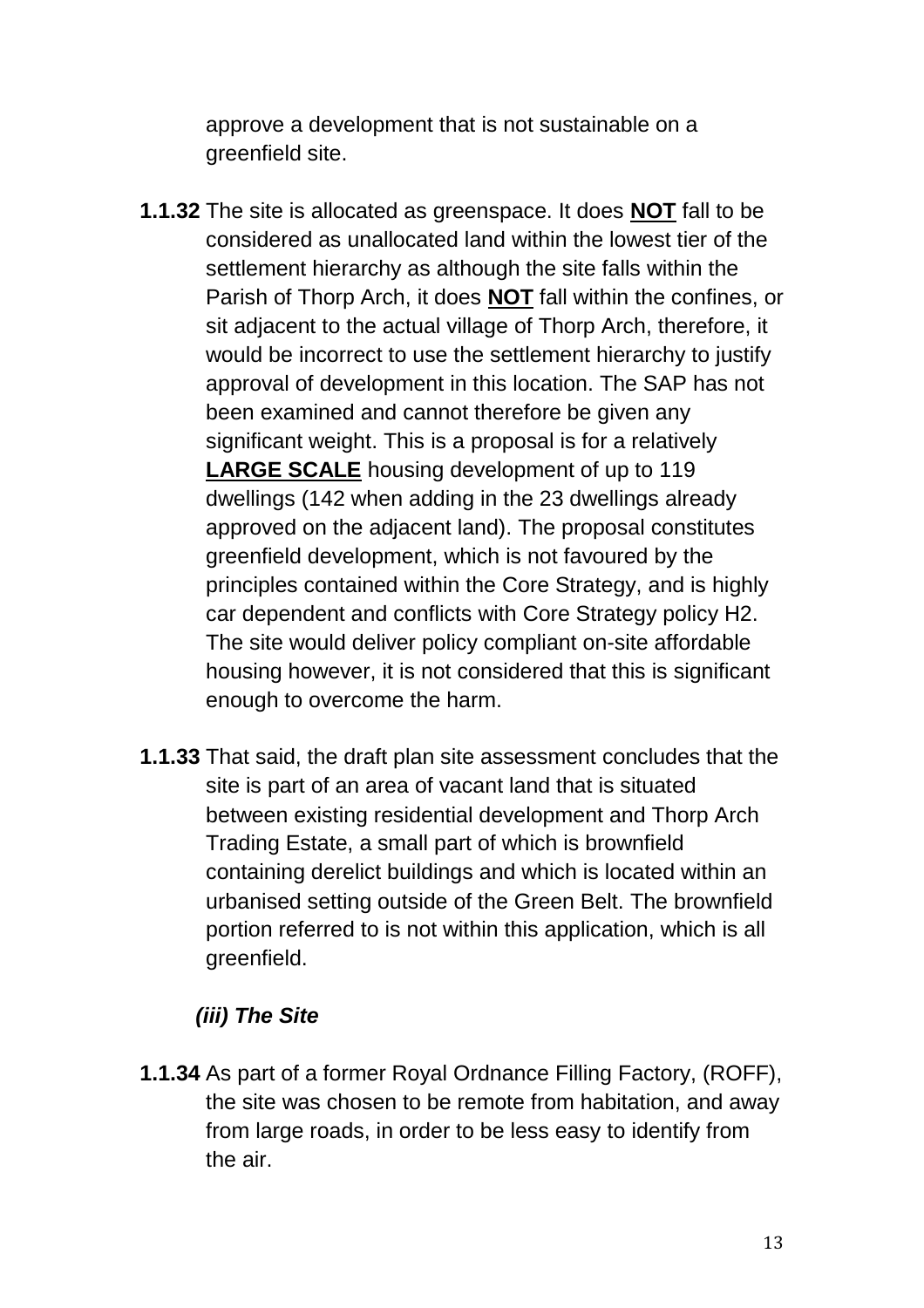approve a development that is not sustainable on a greenfield site.

- **1.1.32** The site is allocated as greenspace. It does **NOT** fall to be considered as unallocated land within the lowest tier of the settlement hierarchy as although the site falls within the Parish of Thorp Arch, it does **NOT** fall within the confines, or sit adjacent to the actual village of Thorp Arch, therefore, it would be incorrect to use the settlement hierarchy to justify approval of development in this location. The SAP has not been examined and cannot therefore be given any significant weight. This is a proposal is for a relatively **LARGE SCALE** housing development of up to 119 dwellings (142 when adding in the 23 dwellings already approved on the adjacent land). The proposal constitutes greenfield development, which is not favoured by the principles contained within the Core Strategy, and is highly car dependent and conflicts with Core Strategy policy H2. The site would deliver policy compliant on-site affordable housing however, it is not considered that this is significant enough to overcome the harm.
- **1.1.33** That said, the draft plan site assessment concludes that the site is part of an area of vacant land that is situated between existing residential development and Thorp Arch Trading Estate, a small part of which is brownfield containing derelict buildings and which is located within an urbanised setting outside of the Green Belt. The brownfield portion referred to is not within this application, which is all greenfield.

#### *(iii) The Site*

**1.1.34** As part of a former Royal Ordnance Filling Factory, (ROFF), the site was chosen to be remote from habitation, and away from large roads, in order to be less easy to identify from the air.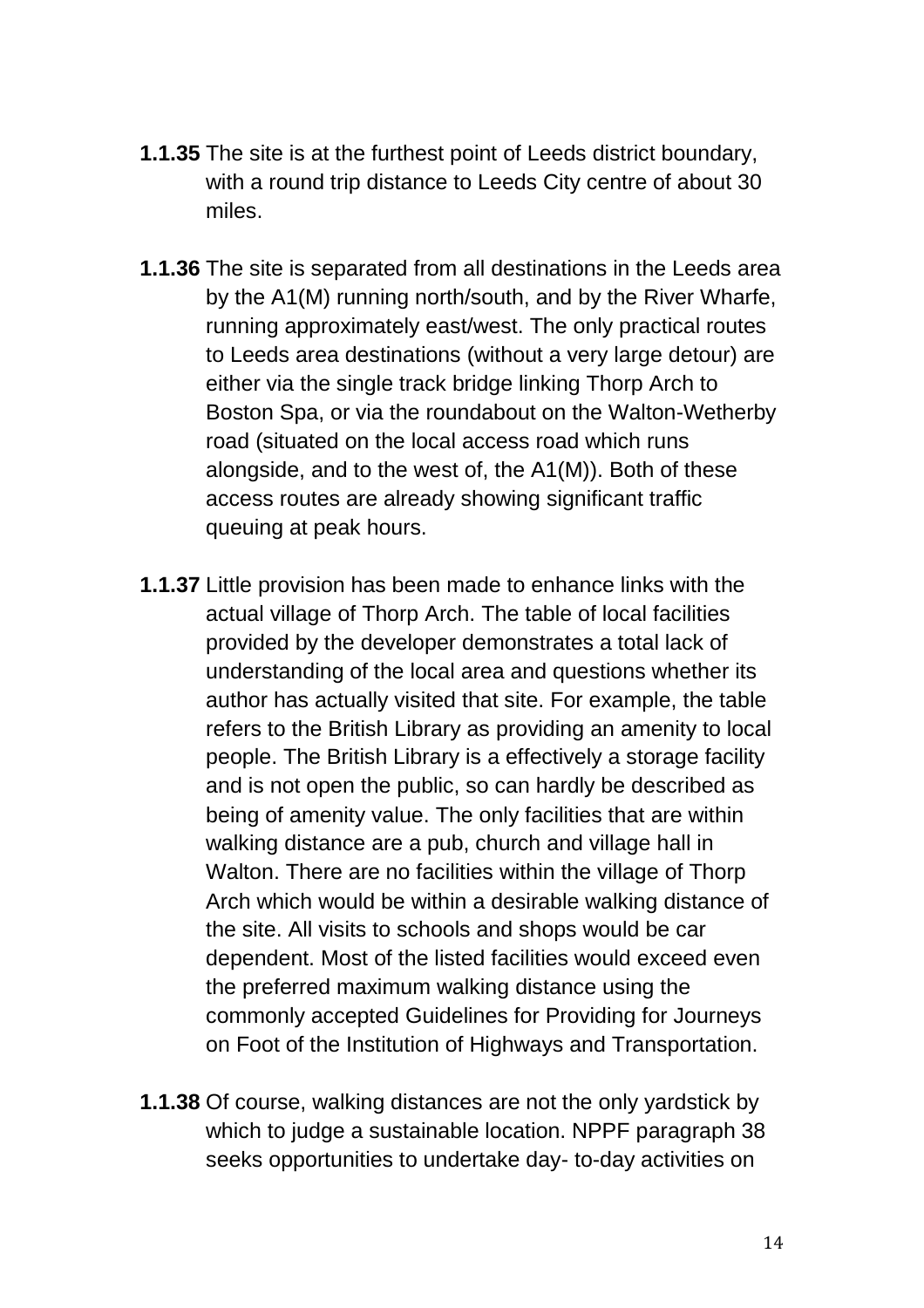- **1.1.35** The site is at the furthest point of Leeds district boundary, with a round trip distance to Leeds City centre of about 30 miles.
- **1.1.36** The site is separated from all destinations in the Leeds area by the A1(M) running north/south, and by the River Wharfe, running approximately east/west. The only practical routes to Leeds area destinations (without a very large detour) are either via the single track bridge linking Thorp Arch to Boston Spa, or via the roundabout on the Walton-Wetherby road (situated on the local access road which runs alongside, and to the west of, the A1(M)). Both of these access routes are already showing significant traffic queuing at peak hours.
- **1.1.37** Little provision has been made to enhance links with the actual village of Thorp Arch. The table of local facilities provided by the developer demonstrates a total lack of understanding of the local area and questions whether its author has actually visited that site. For example, the table refers to the British Library as providing an amenity to local people. The British Library is a effectively a storage facility and is not open the public, so can hardly be described as being of amenity value. The only facilities that are within walking distance are a pub, church and village hall in Walton. There are no facilities within the village of Thorp Arch which would be within a desirable walking distance of the site. All visits to schools and shops would be car dependent. Most of the listed facilities would exceed even the preferred maximum walking distance using the commonly accepted Guidelines for Providing for Journeys on Foot of the Institution of Highways and Transportation.
- **1.1.38** Of course, walking distances are not the only yardstick by which to judge a sustainable location. NPPF paragraph 38 seeks opportunities to undertake day- to-day activities on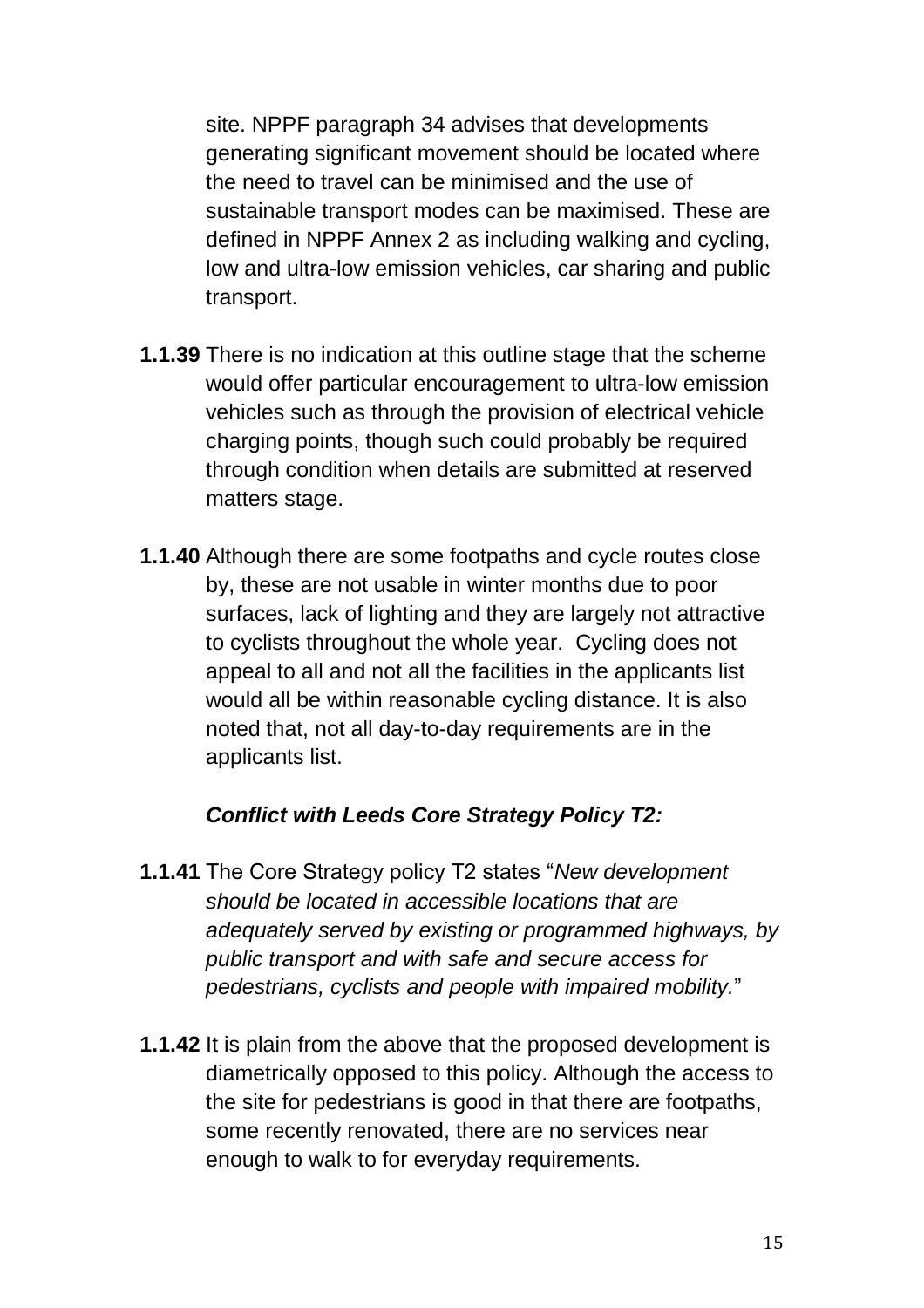site. NPPF paragraph 34 advises that developments generating significant movement should be located where the need to travel can be minimised and the use of sustainable transport modes can be maximised. These are defined in NPPF Annex 2 as including walking and cycling, low and ultra-low emission vehicles, car sharing and public transport.

- **1.1.39** There is no indication at this outline stage that the scheme would offer particular encouragement to ultra-low emission vehicles such as through the provision of electrical vehicle charging points, though such could probably be required through condition when details are submitted at reserved matters stage.
- **1.1.40** Although there are some footpaths and cycle routes close by, these are not usable in winter months due to poor surfaces, lack of lighting and they are largely not attractive to cyclists throughout the whole year. Cycling does not appeal to all and not all the facilities in the applicants list would all be within reasonable cycling distance. It is also noted that, not all day-to-day requirements are in the applicants list.

#### *Conflict with Leeds Core Strategy Policy T2:*

- **1.1.41** The Core Strategy policy T2 states "*New development should be located in accessible locations that are adequately served by existing or programmed highways, by public transport and with safe and secure access for pedestrians, cyclists and people with impaired mobility.*"
- **1.1.42** It is plain from the above that the proposed development is diametrically opposed to this policy. Although the access to the site for pedestrians is good in that there are footpaths, some recently renovated, there are no services near enough to walk to for everyday requirements.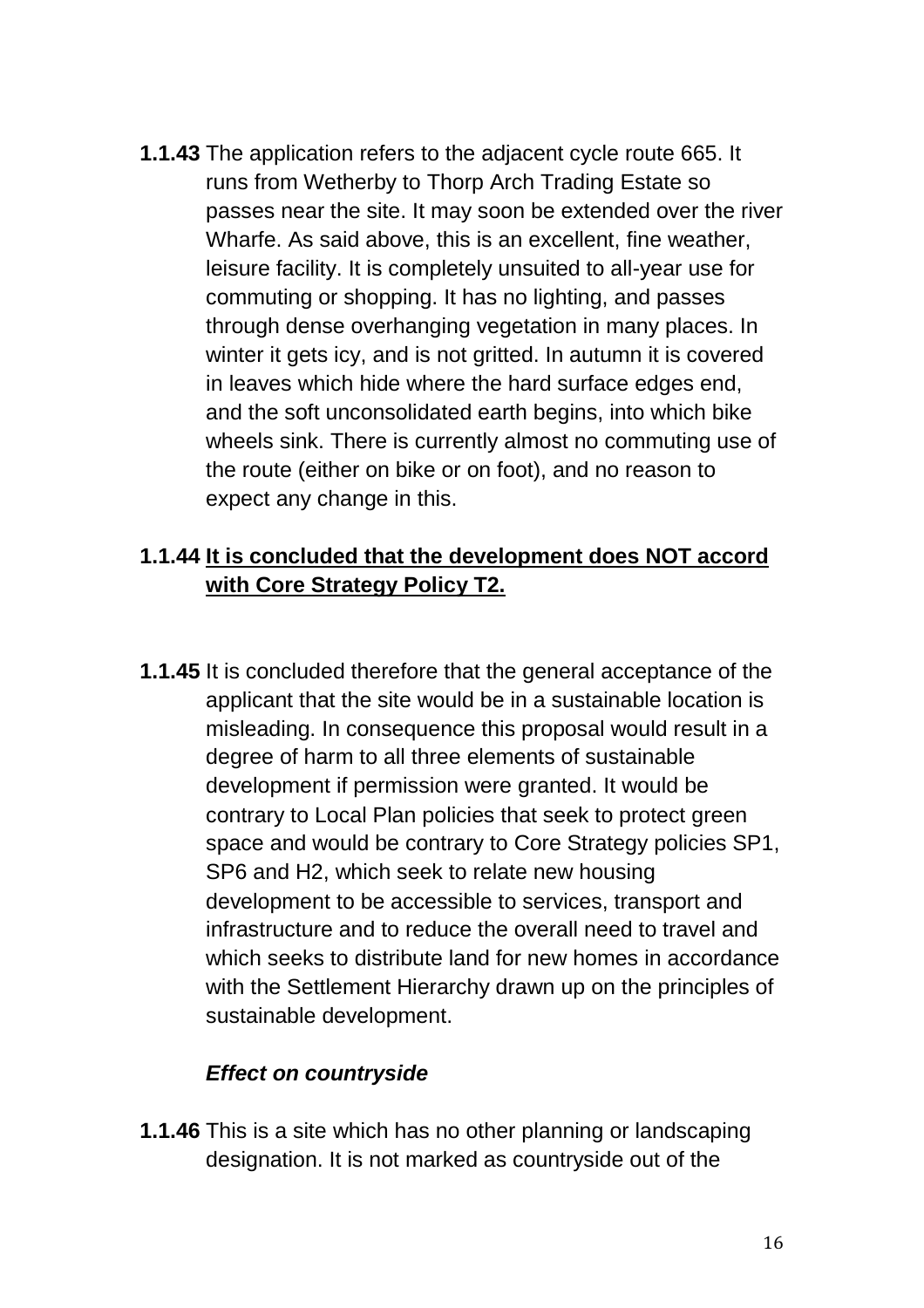**1.1.43** The application refers to the adjacent cycle route 665. It runs from Wetherby to Thorp Arch Trading Estate so passes near the site. It may soon be extended over the river Wharfe. As said above, this is an excellent, fine weather, leisure facility. It is completely unsuited to all-year use for commuting or shopping. It has no lighting, and passes through dense overhanging vegetation in many places. In winter it gets icy, and is not gritted. In autumn it is covered in leaves which hide where the hard surface edges end, and the soft unconsolidated earth begins, into which bike wheels sink. There is currently almost no commuting use of the route (either on bike or on foot), and no reason to expect any change in this.

#### **1.1.44 It is concluded that the development does NOT accord with Core Strategy Policy T2.**

**1.1.45** It is concluded therefore that the general acceptance of the applicant that the site would be in a sustainable location is misleading. In consequence this proposal would result in a degree of harm to all three elements of sustainable development if permission were granted. It would be contrary to Local Plan policies that seek to protect green space and would be contrary to Core Strategy policies SP1, SP6 and H2, which seek to relate new housing development to be accessible to services, transport and infrastructure and to reduce the overall need to travel and which seeks to distribute land for new homes in accordance with the Settlement Hierarchy drawn up on the principles of sustainable development.

#### *Effect on countryside*

**1.1.46** This is a site which has no other planning or landscaping designation. It is not marked as countryside out of the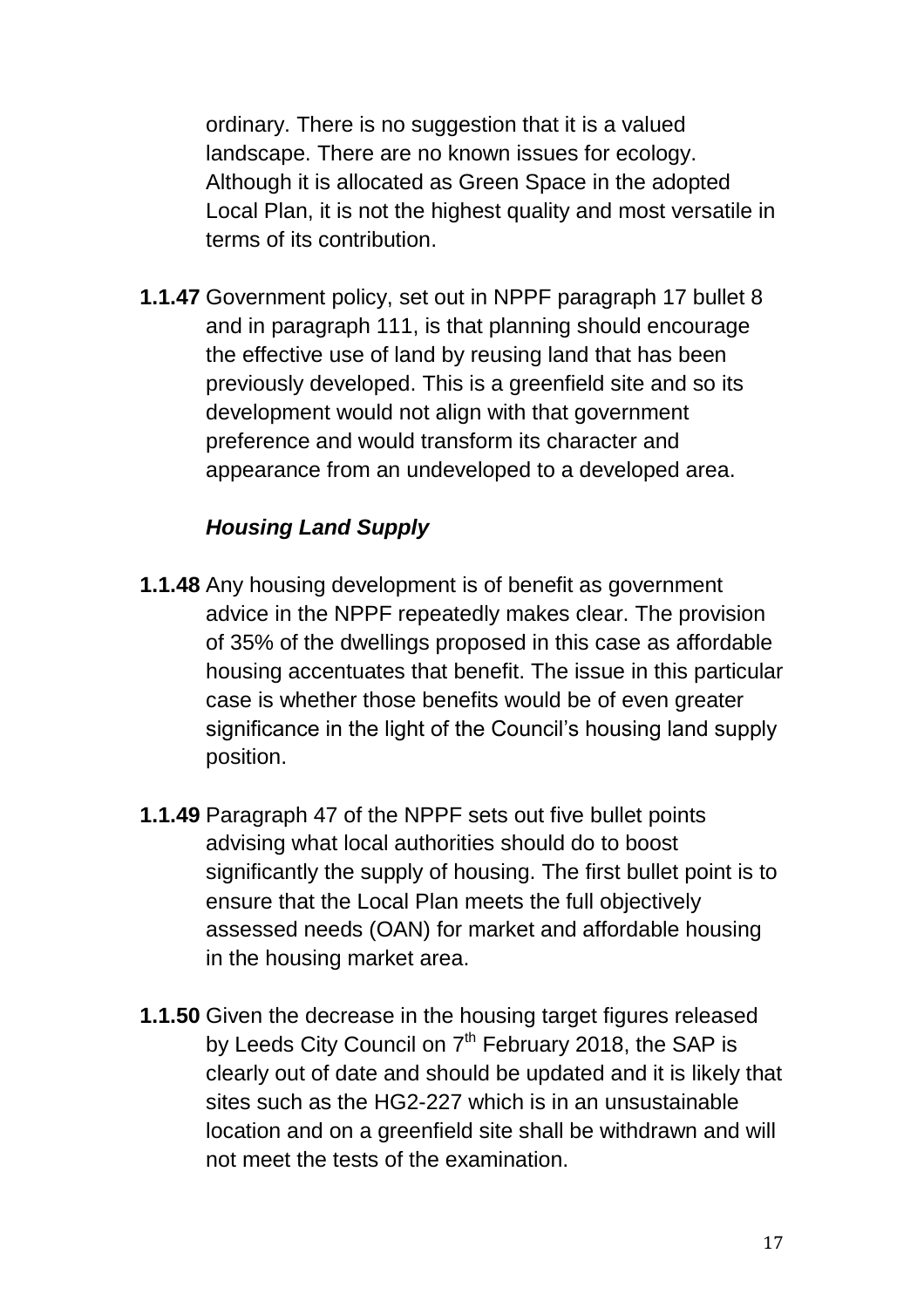ordinary. There is no suggestion that it is a valued landscape. There are no known issues for ecology. Although it is allocated as Green Space in the adopted Local Plan, it is not the highest quality and most versatile in terms of its contribution.

**1.1.47** Government policy, set out in NPPF paragraph 17 bullet 8 and in paragraph 111, is that planning should encourage the effective use of land by reusing land that has been previously developed. This is a greenfield site and so its development would not align with that government preference and would transform its character and appearance from an undeveloped to a developed area.

# *Housing Land Supply*

- **1.1.48** Any housing development is of benefit as government advice in the NPPF repeatedly makes clear. The provision of 35% of the dwellings proposed in this case as affordable housing accentuates that benefit. The issue in this particular case is whether those benefits would be of even greater significance in the light of the Council's housing land supply position.
- **1.1.49** Paragraph 47 of the NPPF sets out five bullet points advising what local authorities should do to boost significantly the supply of housing. The first bullet point is to ensure that the Local Plan meets the full objectively assessed needs (OAN) for market and affordable housing in the housing market area.
- **1.1.50** Given the decrease in the housing target figures released by Leeds City Council on  $7<sup>th</sup>$  February 2018, the SAP is clearly out of date and should be updated and it is likely that sites such as the HG2-227 which is in an unsustainable location and on a greenfield site shall be withdrawn and will not meet the tests of the examination.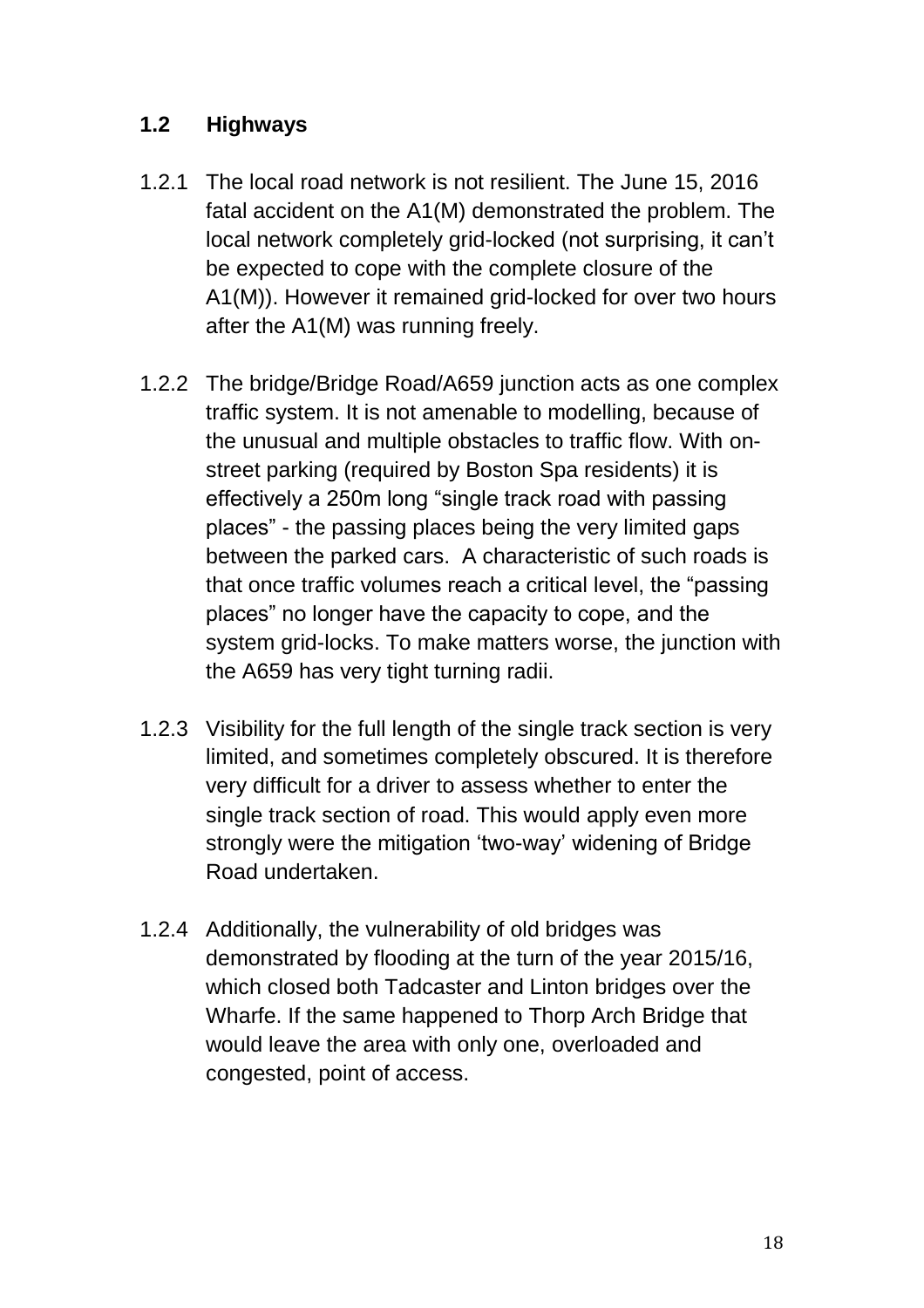#### **1.2 Highways**

- 1.2.1 The local road network is not resilient. The June 15, 2016 fatal accident on the A1(M) demonstrated the problem. The local network completely grid-locked (not surprising, it can't be expected to cope with the complete closure of the A1(M)). However it remained grid-locked for over two hours after the A1(M) was running freely.
- 1.2.2 The bridge/Bridge Road/A659 junction acts as one complex traffic system. It is not amenable to modelling, because of the unusual and multiple obstacles to traffic flow. With onstreet parking (required by Boston Spa residents) it is effectively a 250m long "single track road with passing places" - the passing places being the very limited gaps between the parked cars. A characteristic of such roads is that once traffic volumes reach a critical level, the "passing places" no longer have the capacity to cope, and the system grid-locks. To make matters worse, the junction with the A659 has very tight turning radii.
- 1.2.3 Visibility for the full length of the single track section is very limited, and sometimes completely obscured. It is therefore very difficult for a driver to assess whether to enter the single track section of road. This would apply even more strongly were the mitigation 'two-way' widening of Bridge Road undertaken.
- 1.2.4 Additionally, the vulnerability of old bridges was demonstrated by flooding at the turn of the year 2015/16, which closed both Tadcaster and Linton bridges over the Wharfe. If the same happened to Thorp Arch Bridge that would leave the area with only one, overloaded and congested, point of access.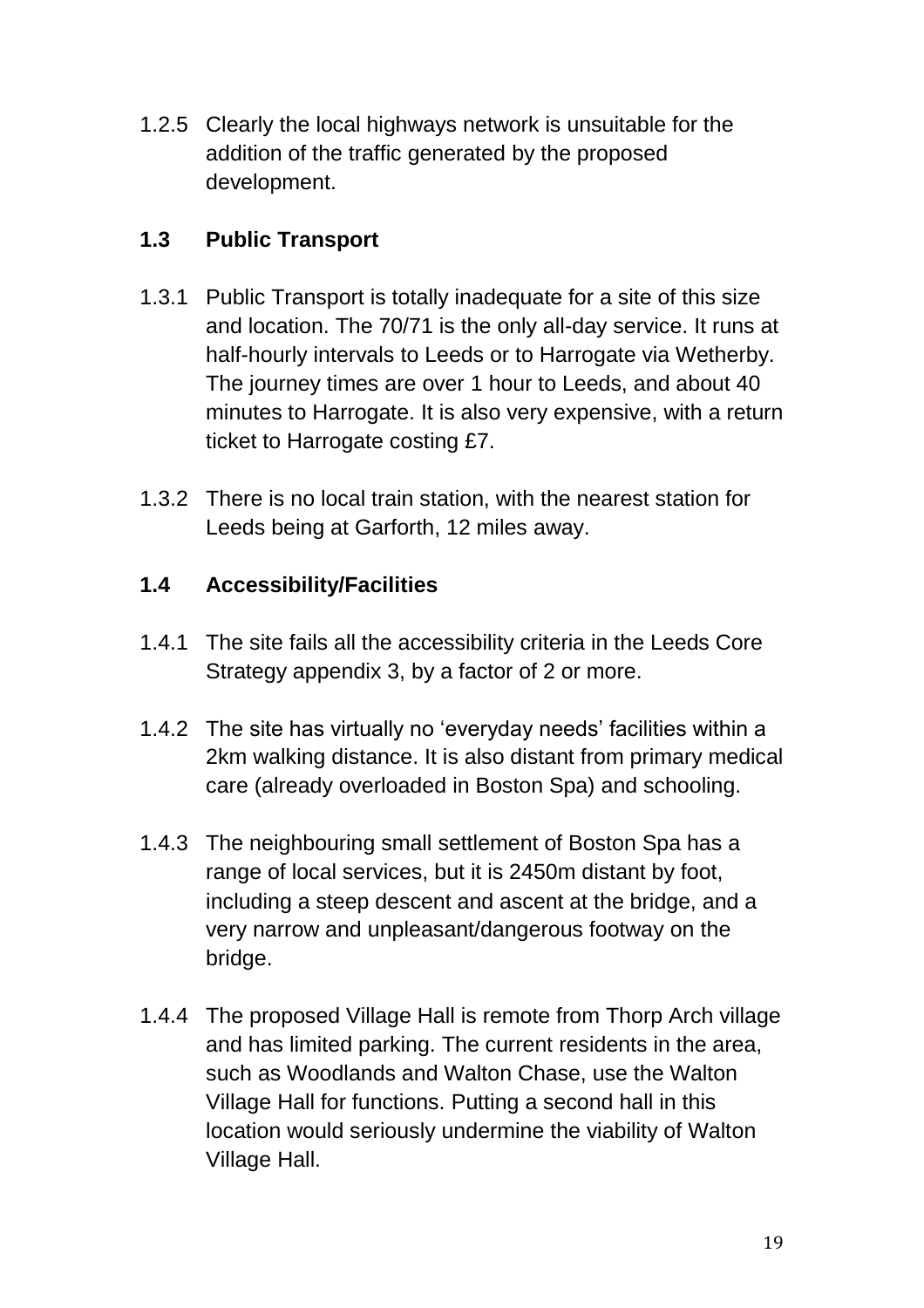1.2.5 Clearly the local highways network is unsuitable for the addition of the traffic generated by the proposed development.

#### **1.3 Public Transport**

- 1.3.1 Public Transport is totally inadequate for a site of this size and location. The 70/71 is the only all-day service. It runs at half-hourly intervals to Leeds or to Harrogate via Wetherby. The journey times are over 1 hour to Leeds, and about 40 minutes to Harrogate. It is also very expensive, with a return ticket to Harrogate costing £7.
- 1.3.2 There is no local train station, with the nearest station for Leeds being at Garforth, 12 miles away.

#### **1.4 Accessibility/Facilities**

- 1.4.1 The site fails all the accessibility criteria in the Leeds Core Strategy appendix 3, by a factor of 2 or more.
- 1.4.2 The site has virtually no 'everyday needs' facilities within a 2km walking distance. It is also distant from primary medical care (already overloaded in Boston Spa) and schooling.
- 1.4.3 The neighbouring small settlement of Boston Spa has a range of local services, but it is 2450m distant by foot, including a steep descent and ascent at the bridge, and a very narrow and unpleasant/dangerous footway on the bridge.
- 1.4.4 The proposed Village Hall is remote from Thorp Arch village and has limited parking. The current residents in the area, such as Woodlands and Walton Chase, use the Walton Village Hall for functions. Putting a second hall in this location would seriously undermine the viability of Walton Village Hall.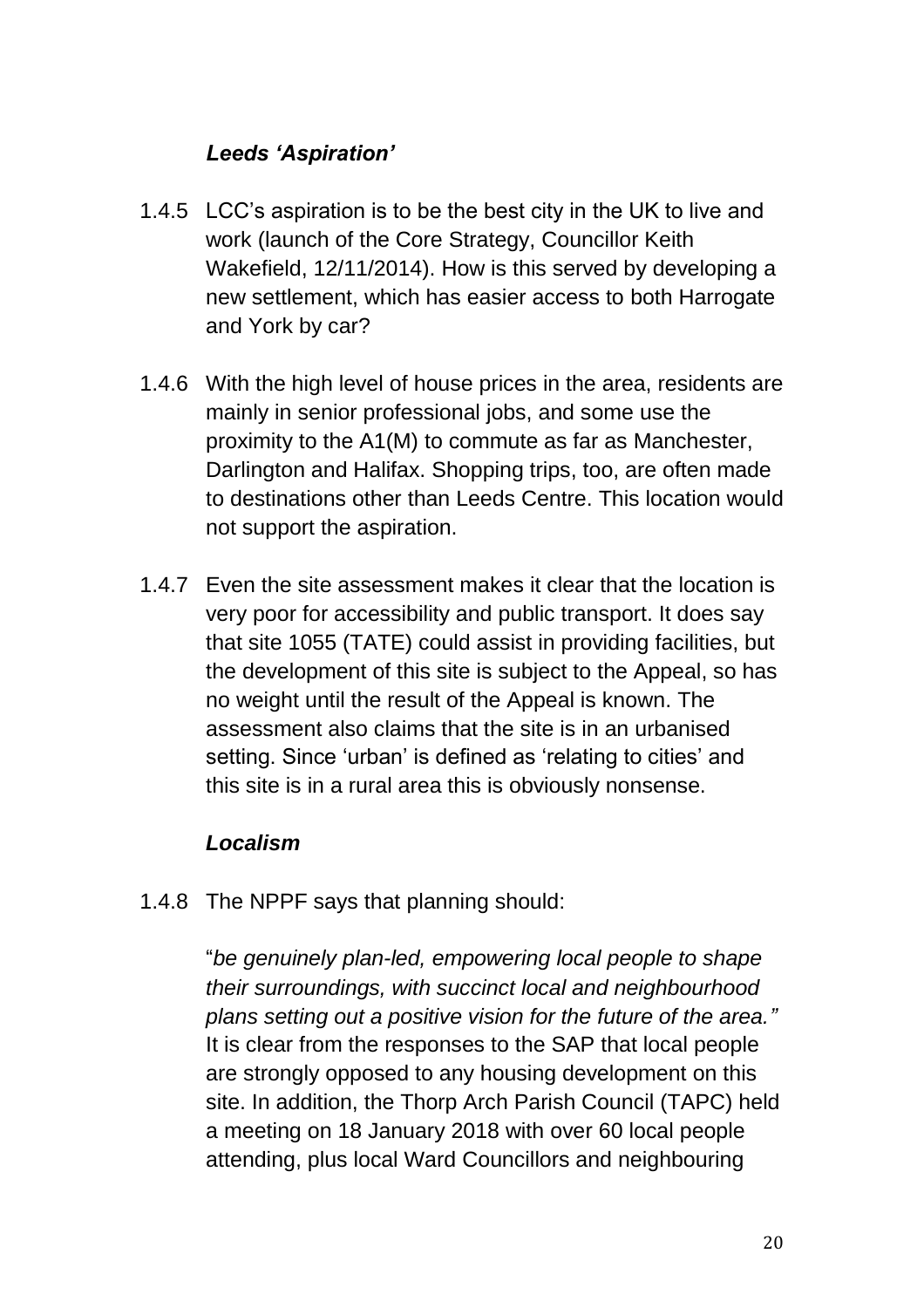#### *Leeds 'Aspiration'*

- 1.4.5 LCC's aspiration is to be the best city in the UK to live and work (launch of the Core Strategy, Councillor Keith Wakefield, 12/11/2014). How is this served by developing a new settlement, which has easier access to both Harrogate and York by car?
- 1.4.6 With the high level of house prices in the area, residents are mainly in senior professional jobs, and some use the proximity to the A1(M) to commute as far as Manchester, Darlington and Halifax. Shopping trips, too, are often made to destinations other than Leeds Centre. This location would not support the aspiration.
- 1.4.7 Even the site assessment makes it clear that the location is very poor for accessibility and public transport. It does say that site 1055 (TATE) could assist in providing facilities, but the development of this site is subject to the Appeal, so has no weight until the result of the Appeal is known. The assessment also claims that the site is in an urbanised setting. Since 'urban' is defined as 'relating to cities' and this site is in a rural area this is obviously nonsense.

#### *Localism*

1.4.8 The NPPF says that planning should:

"*be genuinely plan-led, empowering local people to shape their surroundings, with succinct local and neighbourhood plans setting out a positive vision for the future of the area."* It is clear from the responses to the SAP that local people are strongly opposed to any housing development on this site. In addition, the Thorp Arch Parish Council (TAPC) held a meeting on 18 January 2018 with over 60 local people attending, plus local Ward Councillors and neighbouring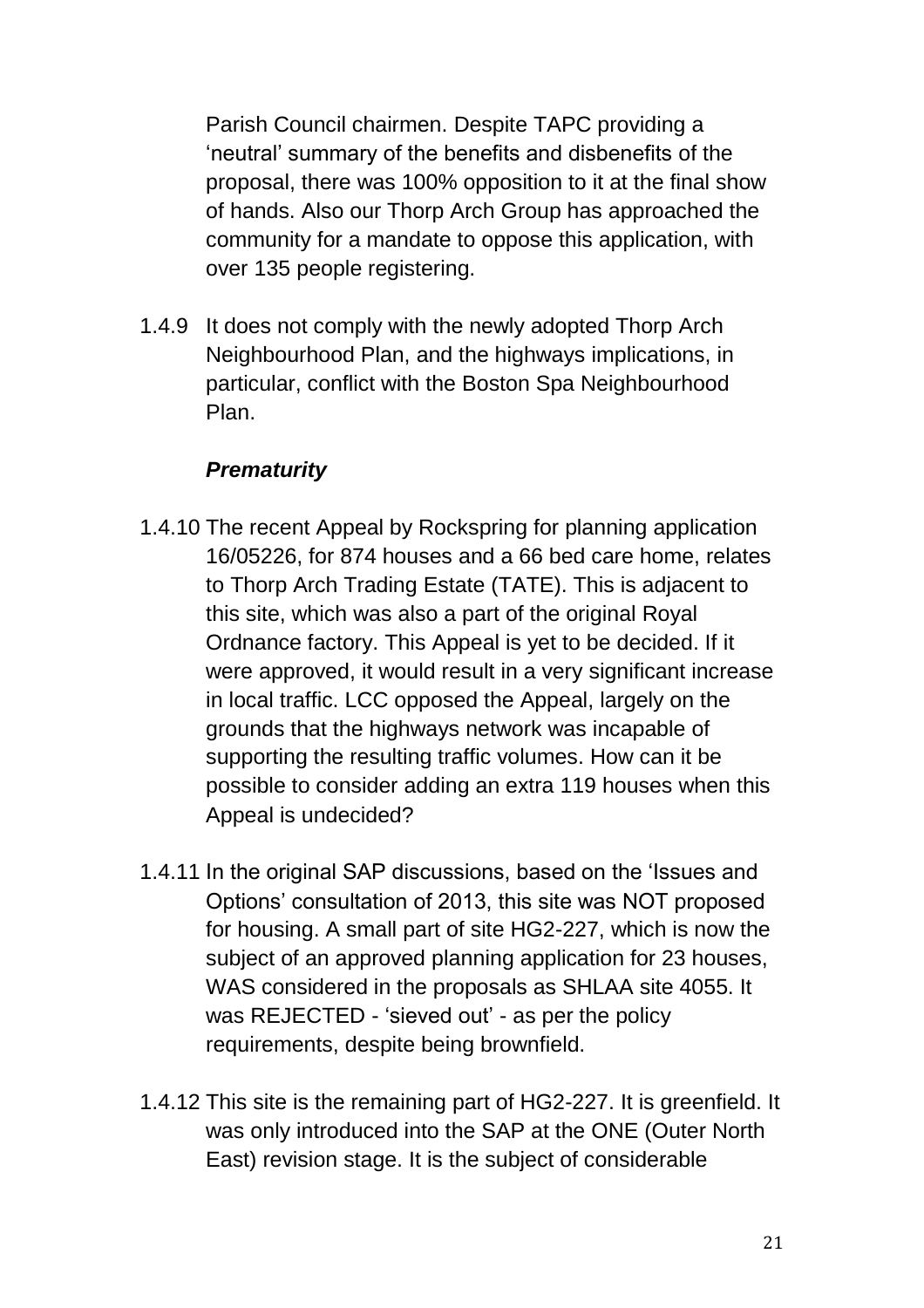Parish Council chairmen. Despite TAPC providing a 'neutral' summary of the benefits and disbenefits of the proposal, there was 100% opposition to it at the final show of hands. Also our Thorp Arch Group has approached the community for a mandate to oppose this application, with over 135 people registering.

1.4.9 It does not comply with the newly adopted Thorp Arch Neighbourhood Plan, and the highways implications, in particular, conflict with the Boston Spa Neighbourhood Plan.

#### *Prematurity*

- 1.4.10 The recent Appeal by Rockspring for planning application 16/05226, for 874 houses and a 66 bed care home, relates to Thorp Arch Trading Estate (TATE). This is adjacent to this site, which was also a part of the original Royal Ordnance factory. This Appeal is yet to be decided. If it were approved, it would result in a very significant increase in local traffic. LCC opposed the Appeal, largely on the grounds that the highways network was incapable of supporting the resulting traffic volumes. How can it be possible to consider adding an extra 119 houses when this Appeal is undecided?
- 1.4.11 In the original SAP discussions, based on the 'Issues and Options' consultation of 2013, this site was NOT proposed for housing. A small part of site HG2-227, which is now the subject of an approved planning application for 23 houses, WAS considered in the proposals as SHLAA site 4055. It was REJECTED - 'sieved out' - as per the policy requirements, despite being brownfield.
- 1.4.12 This site is the remaining part of HG2-227. It is greenfield. It was only introduced into the SAP at the ONE (Outer North East) revision stage. It is the subject of considerable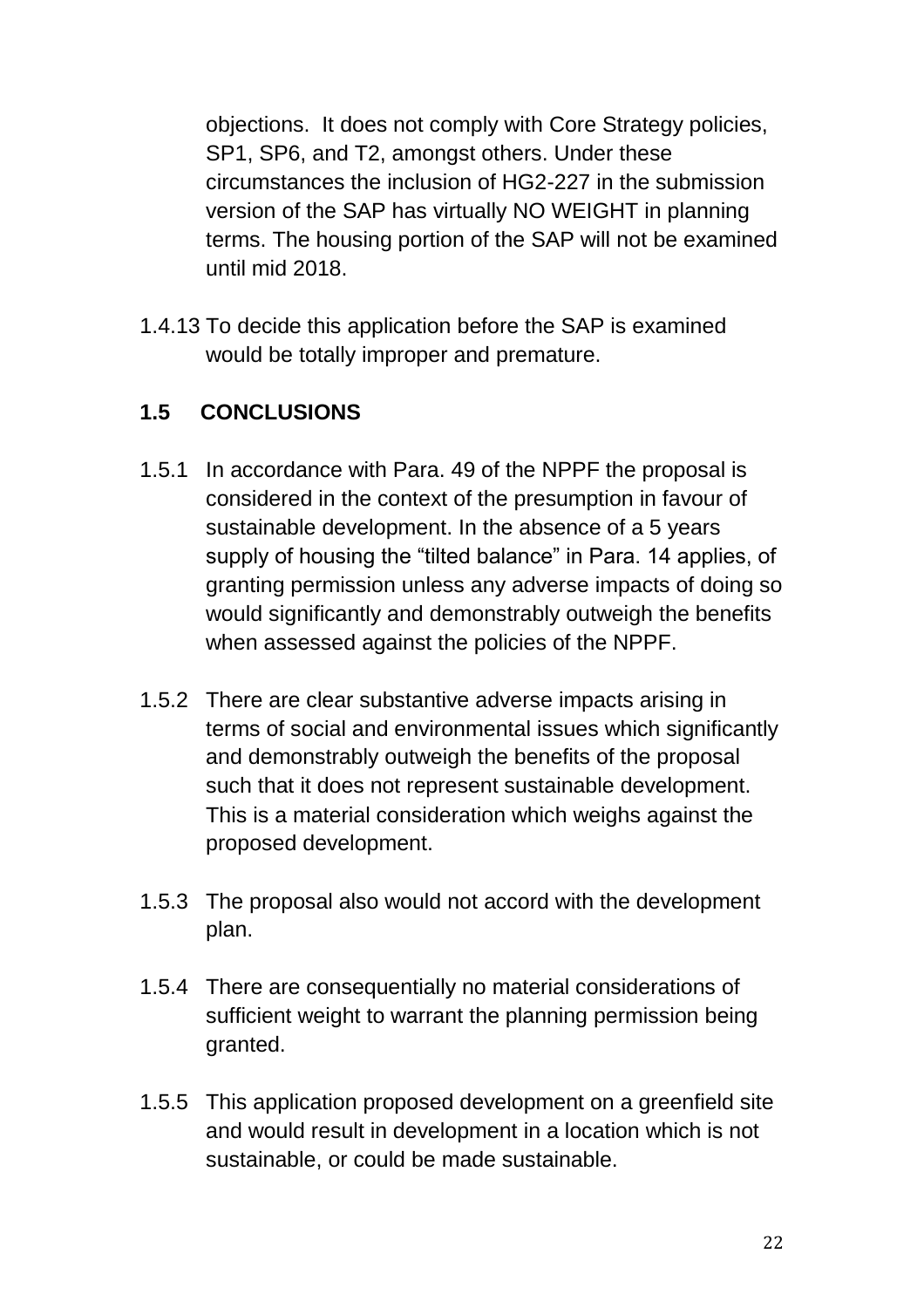objections. It does not comply with Core Strategy policies, SP1, SP6, and T2, amongst others. Under these circumstances the inclusion of HG2-227 in the submission version of the SAP has virtually NO WEIGHT in planning terms. The housing portion of the SAP will not be examined until mid 2018.

1.4.13 To decide this application before the SAP is examined would be totally improper and premature.

## **1.5 CONCLUSIONS**

- 1.5.1 In accordance with Para. 49 of the NPPF the proposal is considered in the context of the presumption in favour of sustainable development. In the absence of a 5 years supply of housing the "tilted balance" in Para. 14 applies, of granting permission unless any adverse impacts of doing so would significantly and demonstrably outweigh the benefits when assessed against the policies of the NPPF.
- 1.5.2 There are clear substantive adverse impacts arising in terms of social and environmental issues which significantly and demonstrably outweigh the benefits of the proposal such that it does not represent sustainable development. This is a material consideration which weighs against the proposed development.
- 1.5.3 The proposal also would not accord with the development plan.
- 1.5.4 There are consequentially no material considerations of sufficient weight to warrant the planning permission being granted.
- 1.5.5 This application proposed development on a greenfield site and would result in development in a location which is not sustainable, or could be made sustainable.